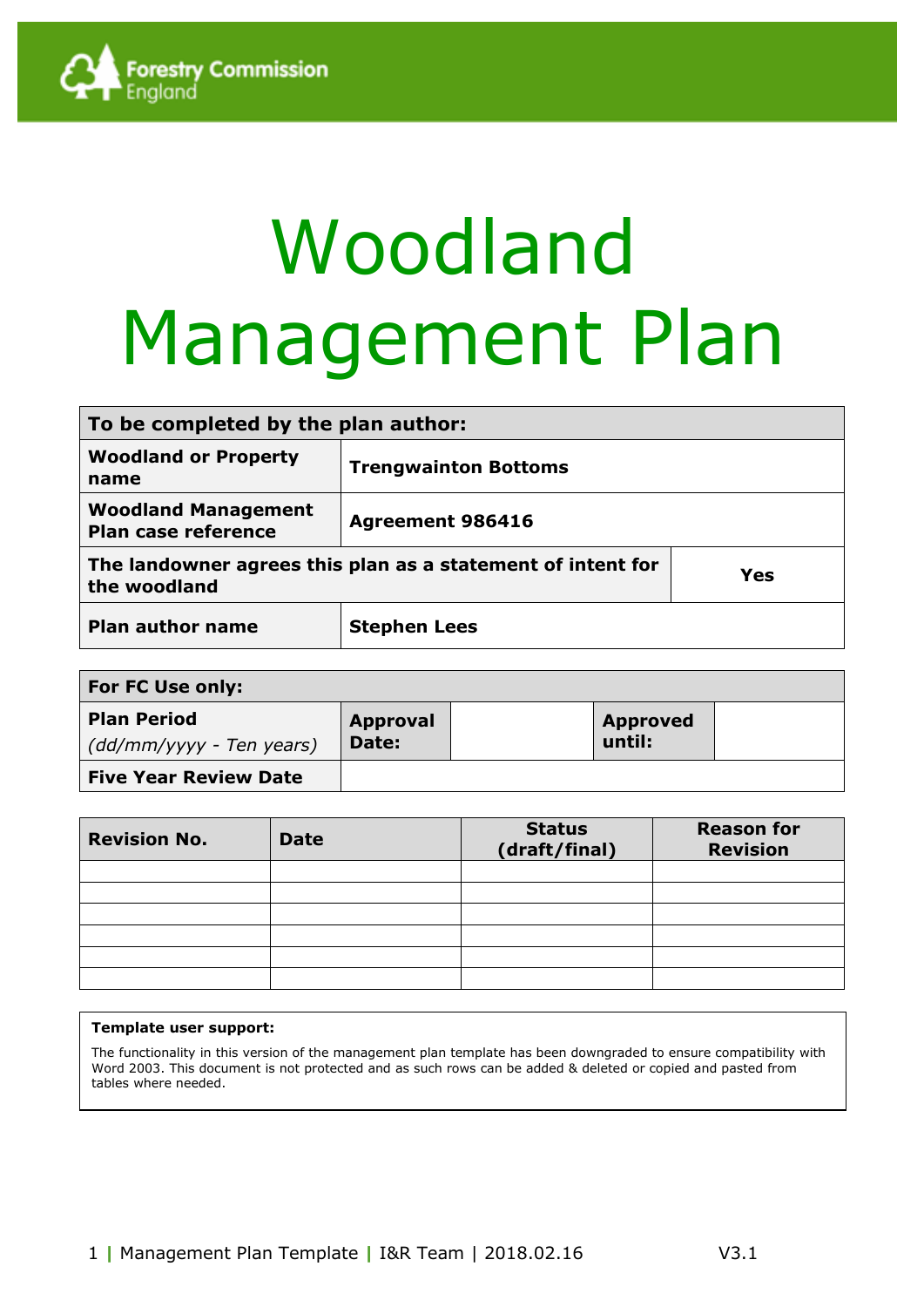

# Woodland Management Plan

| To be completed by the plan author:                                                |                             |  |  |  |
|------------------------------------------------------------------------------------|-----------------------------|--|--|--|
| <b>Woodland or Property</b><br>name                                                | <b>Trengwainton Bottoms</b> |  |  |  |
| <b>Woodland Management</b><br>Plan case reference                                  | <b>Agreement 986416</b>     |  |  |  |
| The landowner agrees this plan as a statement of intent for<br>Yes<br>the woodland |                             |  |  |  |
| <b>Plan author name</b><br><b>Stephen Lees</b>                                     |                             |  |  |  |

| For FC Use only:                               |                          |  |                           |  |  |  |  |
|------------------------------------------------|--------------------------|--|---------------------------|--|--|--|--|
| <b>Plan Period</b><br>(dd/mm/yyyy - Ten years) | <b>Approval</b><br>Date: |  | <b>Approved</b><br>until: |  |  |  |  |
| <b>Five Year Review Date</b>                   |                          |  |                           |  |  |  |  |

| <b>Revision No.</b> | <b>Date</b> | <b>Status</b><br>(draft/final) | <b>Reason for</b><br><b>Revision</b> |
|---------------------|-------------|--------------------------------|--------------------------------------|
|                     |             |                                |                                      |
|                     |             |                                |                                      |
|                     |             |                                |                                      |
|                     |             |                                |                                      |
|                     |             |                                |                                      |
|                     |             |                                |                                      |

#### **Template user support:**

The functionality in this version of the management plan template has been downgraded to ensure compatibility with Word 2003. This document is not protected and as such rows can be added & deleted or copied and pasted from tables where needed.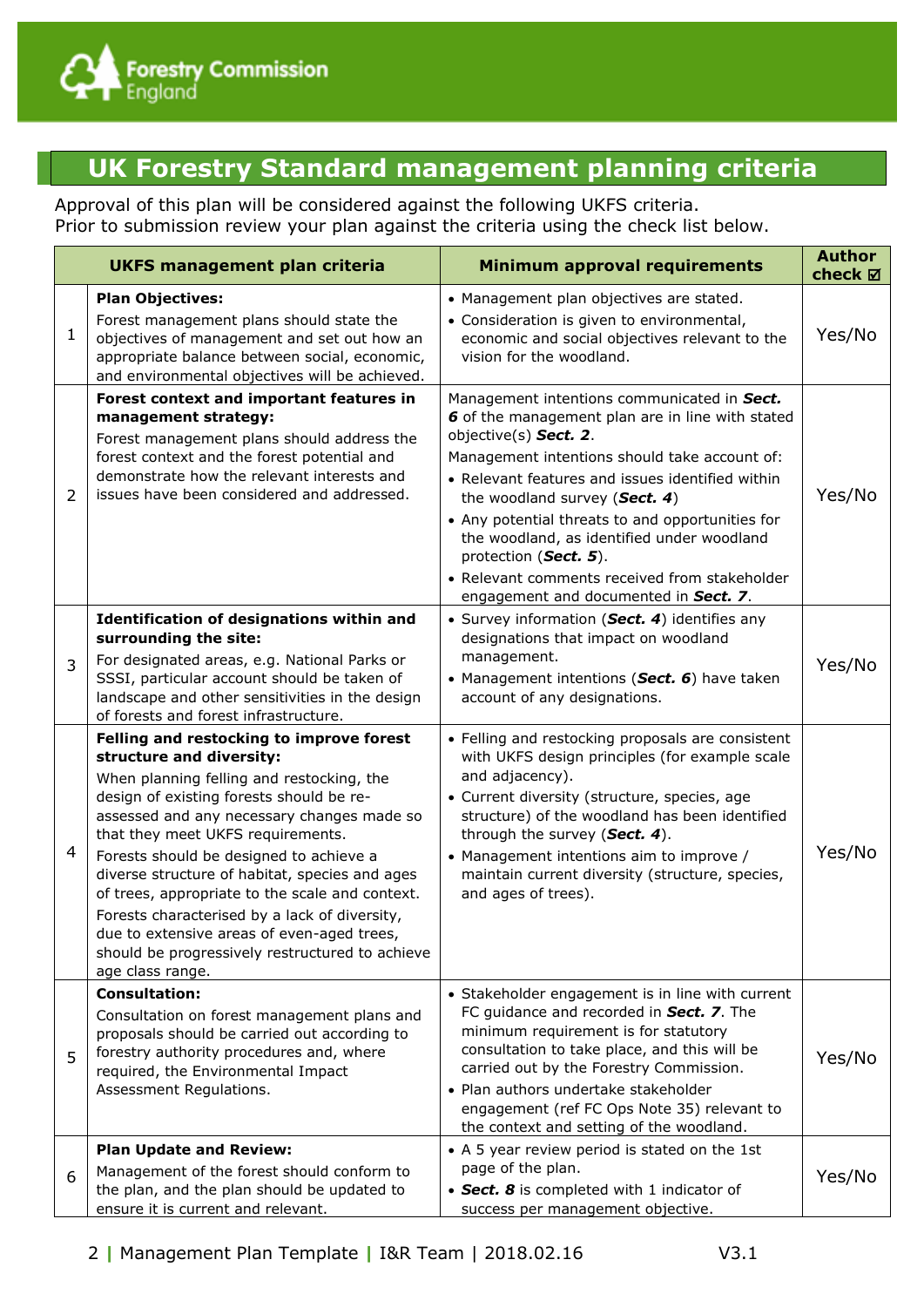

## **UK Forestry Standard management planning criteria**

Approval of this plan will be considered against the following UKFS criteria. Prior to submission review your plan against the criteria using the check list below.

|   | <b>UKFS management plan criteria</b>                                                                                                                                                                                                                                                                                                                                                                                                                                                                                                                                   | <b>Minimum approval requirements</b>                                                                                                                                                                                                                                                                                                                                                                                                                                                | <b>Author</b><br>check ⊠ |
|---|------------------------------------------------------------------------------------------------------------------------------------------------------------------------------------------------------------------------------------------------------------------------------------------------------------------------------------------------------------------------------------------------------------------------------------------------------------------------------------------------------------------------------------------------------------------------|-------------------------------------------------------------------------------------------------------------------------------------------------------------------------------------------------------------------------------------------------------------------------------------------------------------------------------------------------------------------------------------------------------------------------------------------------------------------------------------|--------------------------|
| 1 | <b>Plan Objectives:</b><br>Forest management plans should state the<br>objectives of management and set out how an<br>appropriate balance between social, economic,<br>and environmental objectives will be achieved.                                                                                                                                                                                                                                                                                                                                                  | • Management plan objectives are stated.<br>• Consideration is given to environmental,<br>economic and social objectives relevant to the<br>vision for the woodland.                                                                                                                                                                                                                                                                                                                | Yes/No                   |
| 2 | Forest context and important features in<br>management strategy:<br>Forest management plans should address the<br>forest context and the forest potential and<br>demonstrate how the relevant interests and<br>issues have been considered and addressed.                                                                                                                                                                                                                                                                                                              | Management intentions communicated in Sect.<br>6 of the management plan are in line with stated<br>objective(s) Sect. 2.<br>Management intentions should take account of:<br>• Relevant features and issues identified within<br>the woodland survey (Sect. 4)<br>• Any potential threats to and opportunities for<br>the woodland, as identified under woodland<br>protection (Sect. 5).<br>• Relevant comments received from stakeholder<br>engagement and documented in Sect. 7. | Yes/No                   |
| 3 | Identification of designations within and<br>surrounding the site:<br>For designated areas, e.g. National Parks or<br>SSSI, particular account should be taken of<br>landscape and other sensitivities in the design<br>of forests and forest infrastructure.                                                                                                                                                                                                                                                                                                          | • Survey information (Sect. 4) identifies any<br>designations that impact on woodland<br>management.<br>• Management intentions (Sect. 6) have taken<br>account of any designations.                                                                                                                                                                                                                                                                                                | Yes/No                   |
| 4 | Felling and restocking to improve forest<br>structure and diversity:<br>When planning felling and restocking, the<br>design of existing forests should be re-<br>assessed and any necessary changes made so<br>that they meet UKFS requirements.<br>Forests should be designed to achieve a<br>diverse structure of habitat, species and ages<br>of trees, appropriate to the scale and context.<br>Forests characterised by a lack of diversity,<br>due to extensive areas of even-aged trees,<br>should be progressively restructured to achieve<br>age class range. | • Felling and restocking proposals are consistent<br>with UKFS design principles (for example scale<br>and adjacency).<br>• Current diversity (structure, species, age<br>structure) of the woodland has been identified<br>through the survey (Sect. 4).<br>• Management intentions aim to improve /<br>maintain current diversity (structure, species,<br>and ages of trees).                                                                                                     | Yes/No                   |
| 5 | <b>Consultation:</b><br>Consultation on forest management plans and<br>proposals should be carried out according to<br>forestry authority procedures and, where<br>required, the Environmental Impact<br>Assessment Regulations.                                                                                                                                                                                                                                                                                                                                       | • Stakeholder engagement is in line with current<br>FC guidance and recorded in Sect. 7. The<br>minimum requirement is for statutory<br>consultation to take place, and this will be<br>carried out by the Forestry Commission.<br>• Plan authors undertake stakeholder<br>engagement (ref FC Ops Note 35) relevant to<br>the context and setting of the woodland.                                                                                                                  | Yes/No                   |
| 6 | <b>Plan Update and Review:</b><br>Management of the forest should conform to<br>the plan, and the plan should be updated to<br>ensure it is current and relevant.                                                                                                                                                                                                                                                                                                                                                                                                      | • A 5 year review period is stated on the 1st<br>page of the plan.<br>• Sect. 8 is completed with 1 indicator of<br>success per management objective.                                                                                                                                                                                                                                                                                                                               | Yes/No                   |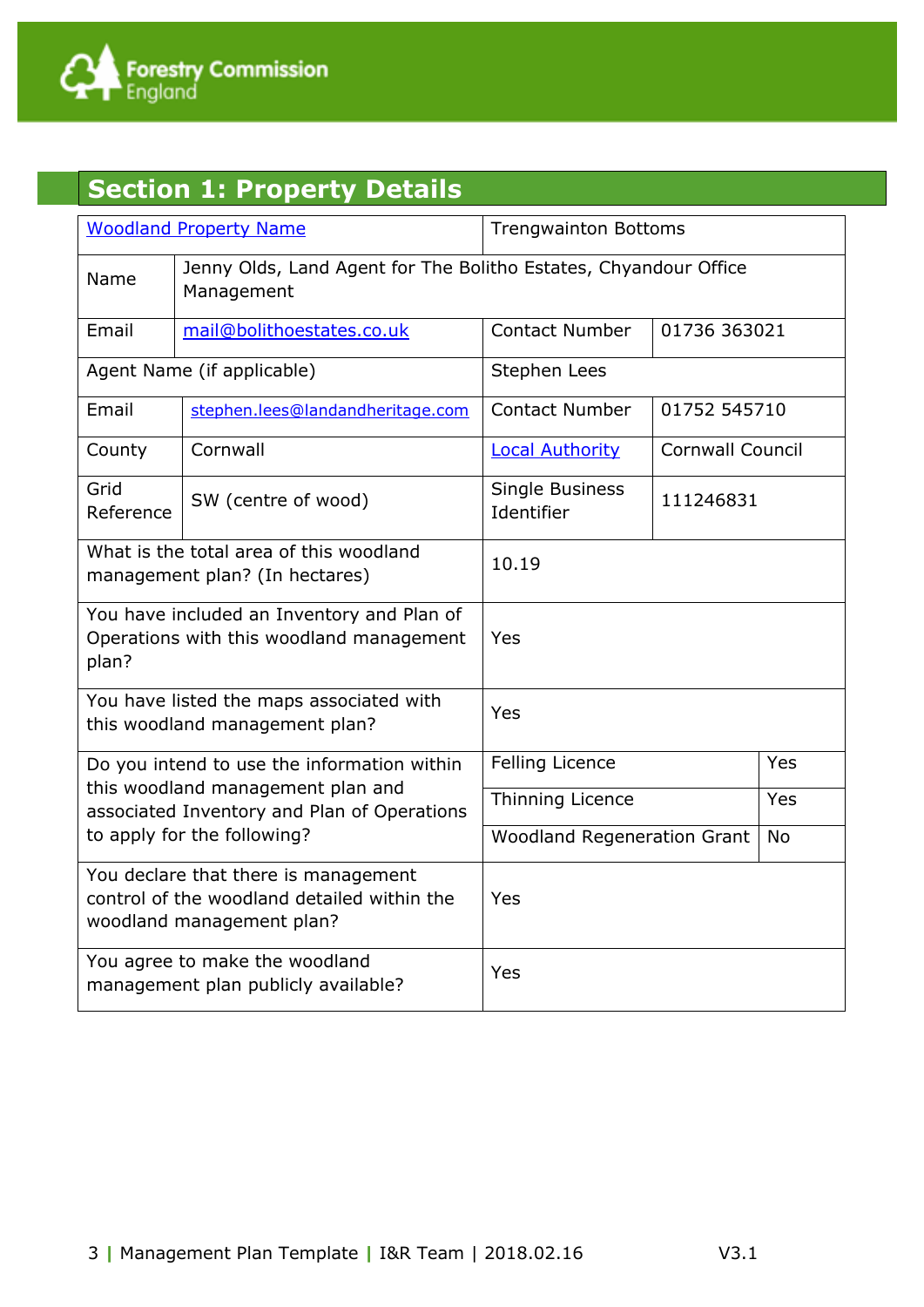

# **Section 1: Property Details**

|                                                                                                 | <b>Woodland Property Name</b>                                                                                    | <b>Trengwainton Bottoms</b>                     |                         |            |  |  |
|-------------------------------------------------------------------------------------------------|------------------------------------------------------------------------------------------------------------------|-------------------------------------------------|-------------------------|------------|--|--|
| Name                                                                                            | Jenny Olds, Land Agent for The Bolitho Estates, Chyandour Office<br>Management                                   |                                                 |                         |            |  |  |
| Email                                                                                           | mail@bolithoestates.co.uk                                                                                        | <b>Contact Number</b>                           | 01736 363021            |            |  |  |
|                                                                                                 | Agent Name (if applicable)                                                                                       | Stephen Lees                                    |                         |            |  |  |
| Email                                                                                           | stephen.lees@landandheritage.com                                                                                 | <b>Contact Number</b>                           | 01752 545710            |            |  |  |
| County                                                                                          | Cornwall                                                                                                         | <b>Local Authority</b>                          | <b>Cornwall Council</b> |            |  |  |
| Grid<br>Reference                                                                               | SW (centre of wood)                                                                                              | Single Business<br>111246831<br>Identifier      |                         |            |  |  |
| What is the total area of this woodland<br>management plan? (In hectares)                       |                                                                                                                  | 10.19                                           |                         |            |  |  |
| You have included an Inventory and Plan of<br>Operations with this woodland management<br>plan? |                                                                                                                  | Yes                                             |                         |            |  |  |
|                                                                                                 | You have listed the maps associated with<br>this woodland management plan?                                       | Yes                                             |                         |            |  |  |
|                                                                                                 | Do you intend to use the information within                                                                      | <b>Felling Licence</b>                          | <b>Yes</b>              |            |  |  |
|                                                                                                 | this woodland management plan and<br>associated Inventory and Plan of Operations                                 | Thinning Licence                                |                         | <b>Yes</b> |  |  |
| to apply for the following?                                                                     |                                                                                                                  | <b>Woodland Regeneration Grant</b><br><b>No</b> |                         |            |  |  |
|                                                                                                 | You declare that there is management<br>control of the woodland detailed within the<br>woodland management plan? | Yes                                             |                         |            |  |  |
|                                                                                                 | You agree to make the woodland<br>management plan publicly available?                                            | Yes                                             |                         |            |  |  |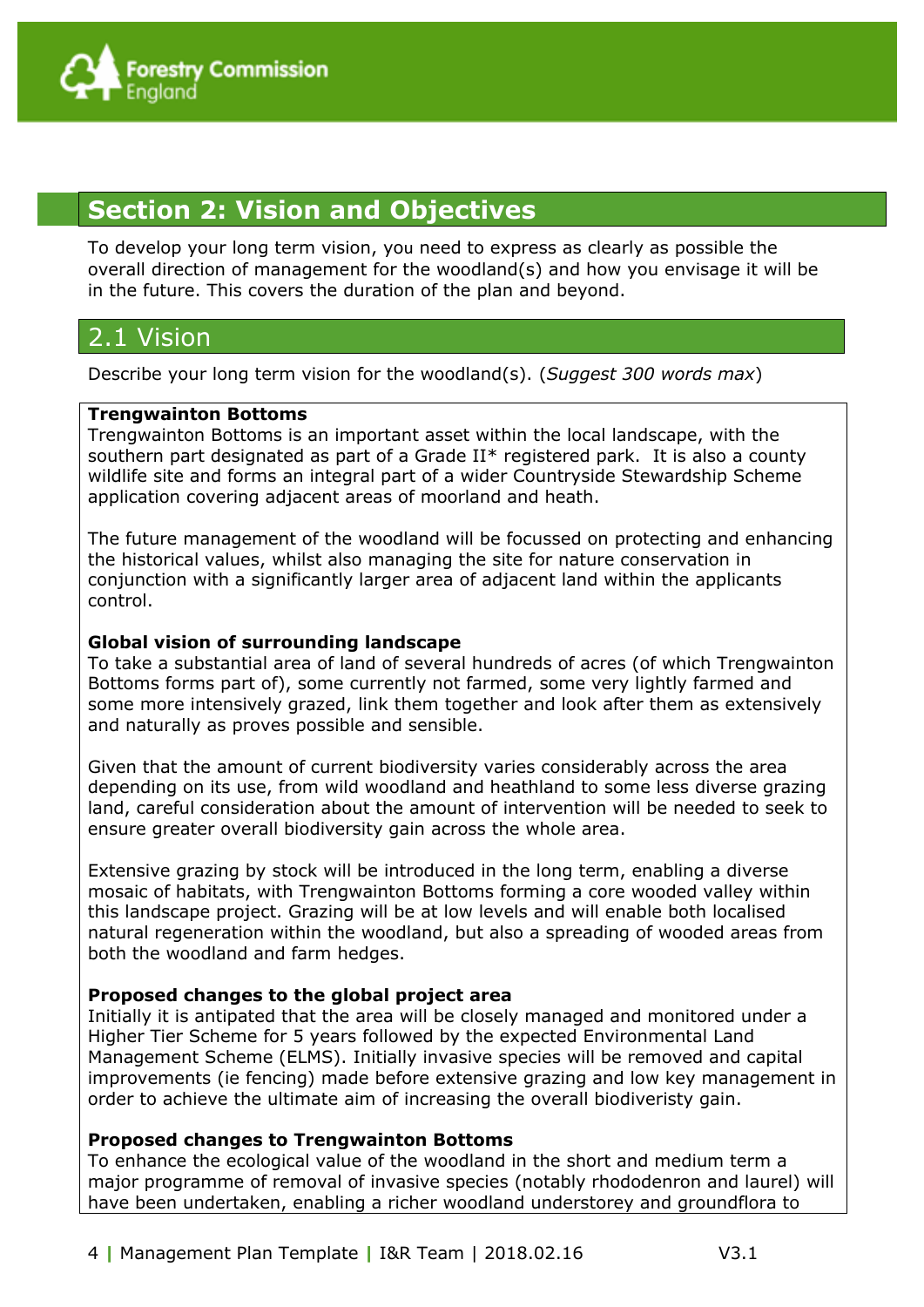#### **Section 2: Vision and Objectives**

To develop your long term vision, you need to express as clearly as possible the overall direction of management for the woodland(s) and how you envisage it will be in the future. This covers the duration of the plan and beyond.

#### 2.1 Vision

Describe your long term vision for the woodland(s). (*Suggest 300 words max*)

#### **Trengwainton Bottoms**

Trengwainton Bottoms is an important asset within the local landscape, with the southern part designated as part of a Grade II\* registered park. It is also a county wildlife site and forms an integral part of a wider Countryside Stewardship Scheme application covering adjacent areas of moorland and heath.

The future management of the woodland will be focussed on protecting and enhancing the historical values, whilst also managing the site for nature conservation in conjunction with a significantly larger area of adjacent land within the applicants control.

#### **Global vision of surrounding landscape**

To take a substantial area of land of several hundreds of acres (of which Trengwainton Bottoms forms part of), some currently not farmed, some very lightly farmed and some more intensively grazed, link them together and look after them as extensively and naturally as proves possible and sensible.

Given that the amount of current biodiversity varies considerably across the area depending on its use, from wild woodland and heathland to some less diverse grazing land, careful consideration about the amount of intervention will be needed to seek to ensure greater overall biodiversity gain across the whole area.

Extensive grazing by stock will be introduced in the long term, enabling a diverse mosaic of habitats, with Trengwainton Bottoms forming a core wooded valley within this landscape project. Grazing will be at low levels and will enable both localised natural regeneration within the woodland, but also a spreading of wooded areas from both the woodland and farm hedges.

#### **Proposed changes to the global project area**

Initially it is antipated that the area will be closely managed and monitored under a Higher Tier Scheme for 5 years followed by the expected Environmental Land Management Scheme (ELMS). Initially invasive species will be removed and capital improvements (ie fencing) made before extensive grazing and low key management in order to achieve the ultimate aim of increasing the overall biodiveristy gain.

#### **Proposed changes to Trengwainton Bottoms**

To enhance the ecological value of the woodland in the short and medium term a major programme of removal of invasive species (notably rhododenron and laurel) will have been undertaken, enabling a richer woodland understorey and groundflora to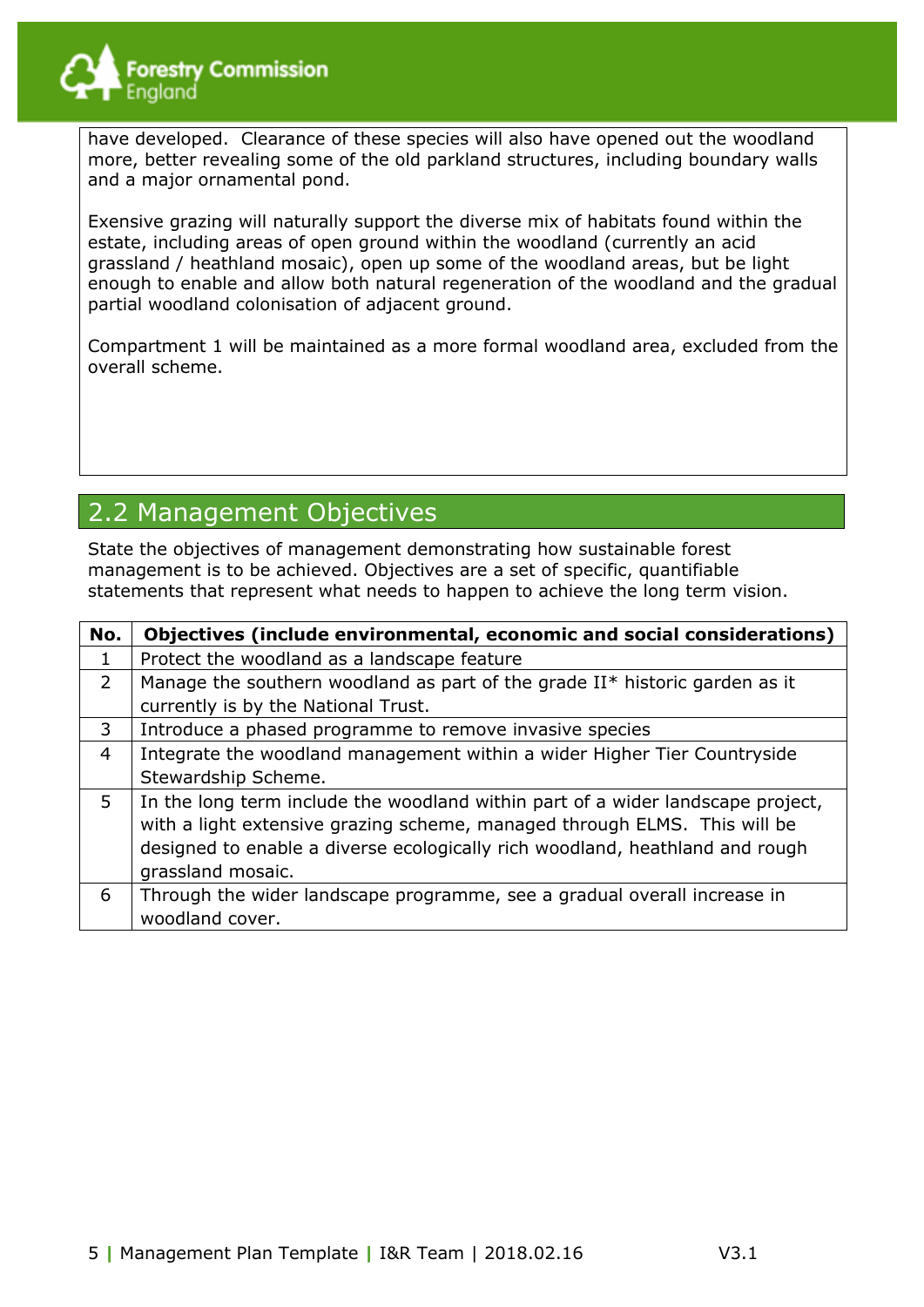

have developed. Clearance of these species will also have opened out the woodland more, better revealing some of the old parkland structures, including boundary walls and a major ornamental pond.

Exensive grazing will naturally support the diverse mix of habitats found within the estate, including areas of open ground within the woodland (currently an acid grassland / heathland mosaic), open up some of the woodland areas, but be light enough to enable and allow both natural regeneration of the woodland and the gradual partial woodland colonisation of adjacent ground.

Compartment 1 will be maintained as a more formal woodland area, excluded from the overall scheme.

#### 2.2 Management Objectives

State the objectives of management demonstrating how sustainable forest management is to be achieved. Objectives are a set of specific, quantifiable statements that represent what needs to happen to achieve the long term vision.

| No.            | Objectives (include environmental, economic and social considerations)          |
|----------------|---------------------------------------------------------------------------------|
| 1              | Protect the woodland as a landscape feature                                     |
| $\overline{2}$ | Manage the southern woodland as part of the grade II* historic garden as it     |
|                | currently is by the National Trust.                                             |
| 3              | Introduce a phased programme to remove invasive species                         |
| 4              | Integrate the woodland management within a wider Higher Tier Countryside        |
|                | Stewardship Scheme.                                                             |
| 5              | In the long term include the woodland within part of a wider landscape project, |
|                | with a light extensive grazing scheme, managed through ELMS. This will be       |
|                | designed to enable a diverse ecologically rich woodland, heathland and rough    |
|                | grassland mosaic.                                                               |
| 6              | Through the wider landscape programme, see a gradual overall increase in        |
|                | woodland cover.                                                                 |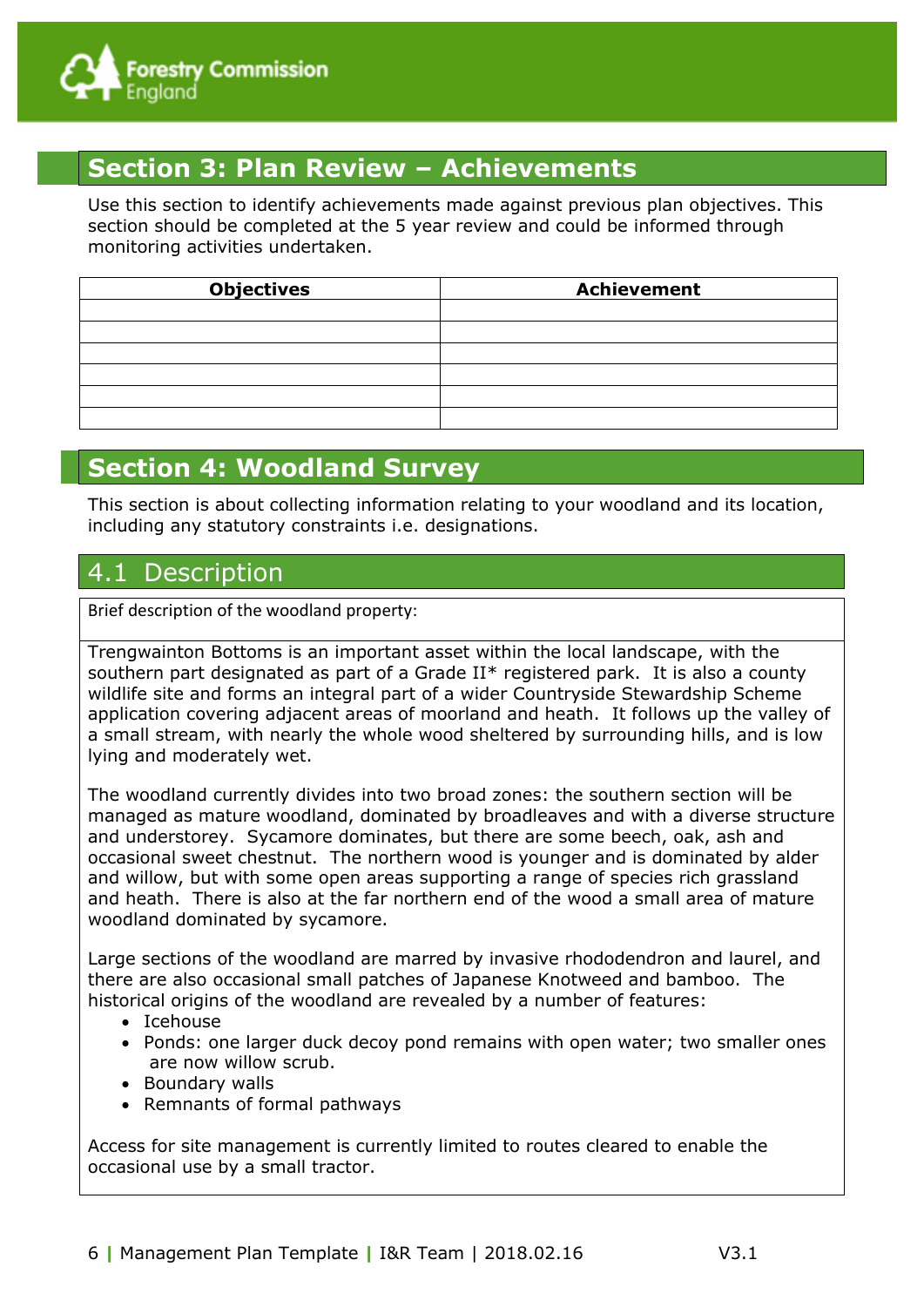

## **Section 3: Plan Review – Achievements**

Use this section to identify achievements made against previous plan objectives. This section should be completed at the 5 year review and could be informed through monitoring activities undertaken.

| <b>Objectives</b> | <b>Achievement</b> |
|-------------------|--------------------|
|                   |                    |
|                   |                    |
|                   |                    |
|                   |                    |
|                   |                    |
|                   |                    |

#### **Section 4: Woodland Survey**

This section is about collecting information relating to your woodland and its location, including any statutory constraints i.e. designations.

#### 4.1 Description

Brief description of the woodland property:

Trengwainton Bottoms is an important asset within the local landscape, with the southern part designated as part of a Grade II\* registered park. It is also a county wildlife site and forms an integral part of a wider Countryside Stewardship Scheme application covering adjacent areas of moorland and heath. It follows up the valley of a small stream, with nearly the whole wood sheltered by surrounding hills, and is low lying and moderately wet.

The woodland currently divides into two broad zones: the southern section will be managed as mature woodland, dominated by broadleaves and with a diverse structure and understorey. Sycamore dominates, but there are some beech, oak, ash and occasional sweet chestnut. The northern wood is younger and is dominated by alder and willow, but with some open areas supporting a range of species rich grassland and heath. There is also at the far northern end of the wood a small area of mature woodland dominated by sycamore.

Large sections of the woodland are marred by invasive rhododendron and laurel, and there are also occasional small patches of Japanese Knotweed and bamboo. The historical origins of the woodland are revealed by a number of features:

- Icehouse
- Ponds: one larger duck decoy pond remains with open water; two smaller ones are now willow scrub.
- Boundary walls
- Remnants of formal pathways

Access for site management is currently limited to routes cleared to enable the occasional use by a small tractor.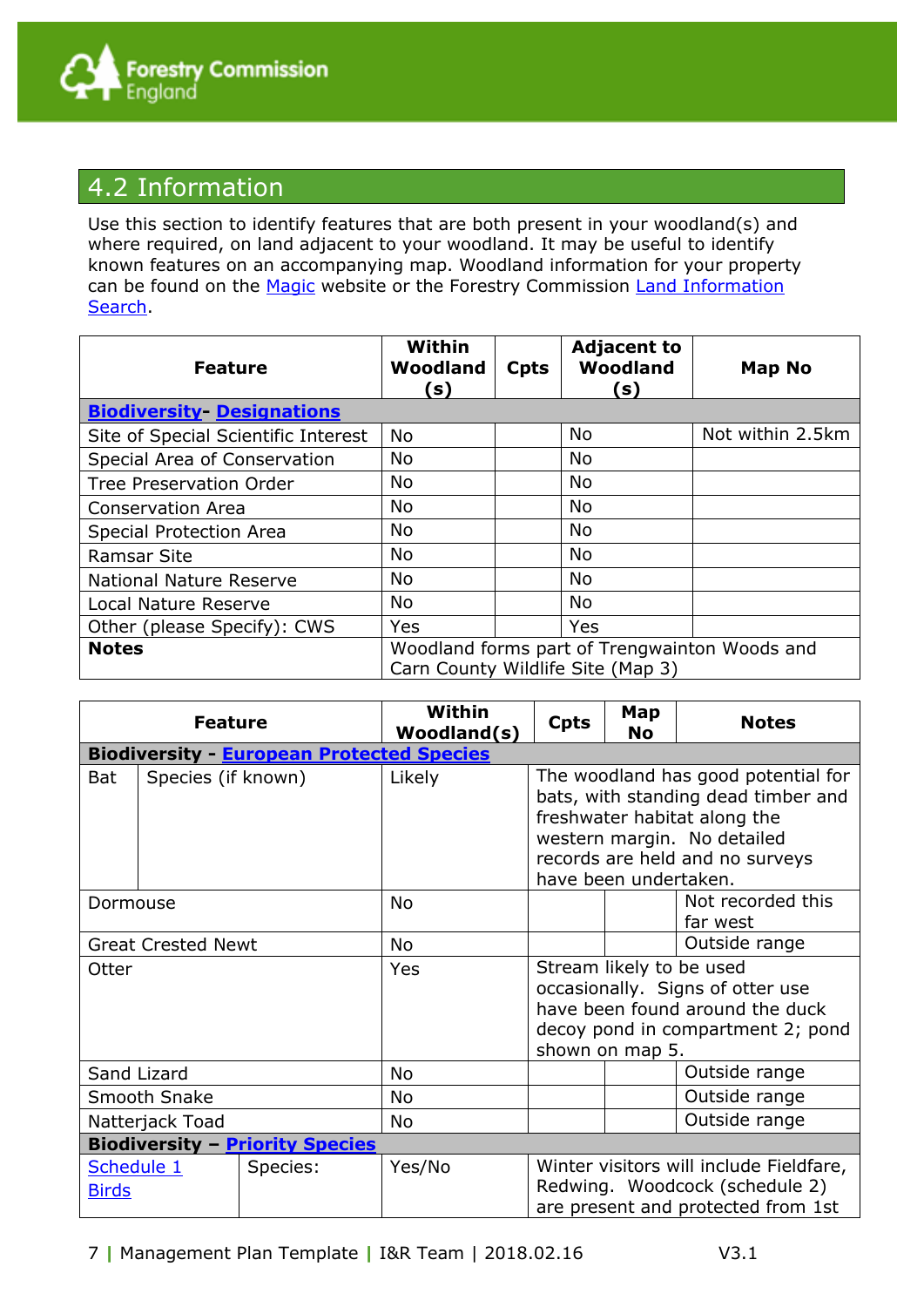

#### 4.2 Information

Use this section to identify features that are both present in your woodland(s) and where required, on land adjacent to your woodland. It may be useful to identify known features on an accompanying map. Woodland information for your property can be found on the [Magic](http://magic.defra.gov.uk/) website or the Forestry Commission [Land Information](http://www.forestry.gov.uk/forestry/infd-5zsrct)  **Search** 

| <b>Feature</b>                      | Within<br>Woodland<br>s)                                                           | <b>Cpts</b> | <b>Adjacent to</b><br>Woodland<br>(s) | Map No           |
|-------------------------------------|------------------------------------------------------------------------------------|-------------|---------------------------------------|------------------|
| <b>Biodiversity-Designations</b>    |                                                                                    |             |                                       |                  |
| Site of Special Scientific Interest | <b>No</b>                                                                          |             | <b>No</b>                             | Not within 2.5km |
| Special Area of Conservation        | No                                                                                 |             | <b>No</b>                             |                  |
| <b>Tree Preservation Order</b>      | No                                                                                 |             | <b>No</b>                             |                  |
| <b>Conservation Area</b>            | No                                                                                 |             | <b>No</b>                             |                  |
| <b>Special Protection Area</b>      | No                                                                                 |             | <b>No</b>                             |                  |
| <b>Ramsar Site</b>                  | No                                                                                 |             | <b>No</b>                             |                  |
| <b>National Nature Reserve</b>      | No                                                                                 |             | <b>No</b>                             |                  |
| <b>Local Nature Reserve</b>         | No                                                                                 |             | <b>No</b>                             |                  |
| Other (please Specify): CWS         | Yes                                                                                |             | Yes                                   |                  |
| <b>Notes</b>                        | Woodland forms part of Trengwainton Woods and<br>Carn County Wildlife Site (Map 3) |             |                                       |                  |

| <b>Feature</b>                                                                                                                                                      |                                                  |           | Within<br>Woodland(s)                                                                                                                                   | <b>Cpts</b>                                                                                                                                                                  | Map<br>No                     | <b>Notes</b>  |  |  |  |
|---------------------------------------------------------------------------------------------------------------------------------------------------------------------|--------------------------------------------------|-----------|---------------------------------------------------------------------------------------------------------------------------------------------------------|------------------------------------------------------------------------------------------------------------------------------------------------------------------------------|-------------------------------|---------------|--|--|--|
|                                                                                                                                                                     | <b>Biodiversity - European Protected Species</b> |           |                                                                                                                                                         |                                                                                                                                                                              |                               |               |  |  |  |
| <b>Bat</b>                                                                                                                                                          | Species (if known)                               |           | Likely                                                                                                                                                  | The woodland has good potential for<br>bats, with standing dead timber and<br>freshwater habitat along the<br>western margin. No detailed<br>records are held and no surveys |                               |               |  |  |  |
|                                                                                                                                                                     |                                                  |           |                                                                                                                                                         |                                                                                                                                                                              | have been undertaken.         |               |  |  |  |
| Dormouse                                                                                                                                                            |                                                  | <b>No</b> |                                                                                                                                                         |                                                                                                                                                                              | Not recorded this<br>far west |               |  |  |  |
|                                                                                                                                                                     | <b>Great Crested Newt</b>                        |           | <b>No</b>                                                                                                                                               |                                                                                                                                                                              |                               | Outside range |  |  |  |
| Otter                                                                                                                                                               |                                                  | Yes       | Stream likely to be used<br>occasionally. Signs of otter use<br>have been found around the duck<br>decoy pond in compartment 2; pond<br>shown on map 5. |                                                                                                                                                                              |                               |               |  |  |  |
|                                                                                                                                                                     | Sand Lizard                                      |           | No                                                                                                                                                      |                                                                                                                                                                              |                               | Outside range |  |  |  |
| <b>Smooth Snake</b>                                                                                                                                                 |                                                  |           | <b>No</b>                                                                                                                                               |                                                                                                                                                                              |                               | Outside range |  |  |  |
| Natterjack Toad                                                                                                                                                     |                                                  | <b>No</b> |                                                                                                                                                         |                                                                                                                                                                              | Outside range                 |               |  |  |  |
| <b>Biodiversity - Priority Species</b>                                                                                                                              |                                                  |           |                                                                                                                                                         |                                                                                                                                                                              |                               |               |  |  |  |
| Winter visitors will include Fieldfare,<br>Schedule 1<br>Yes/No<br>Species:<br>Redwing. Woodcock (schedule 2)<br><b>Birds</b><br>are present and protected from 1st |                                                  |           |                                                                                                                                                         |                                                                                                                                                                              |                               |               |  |  |  |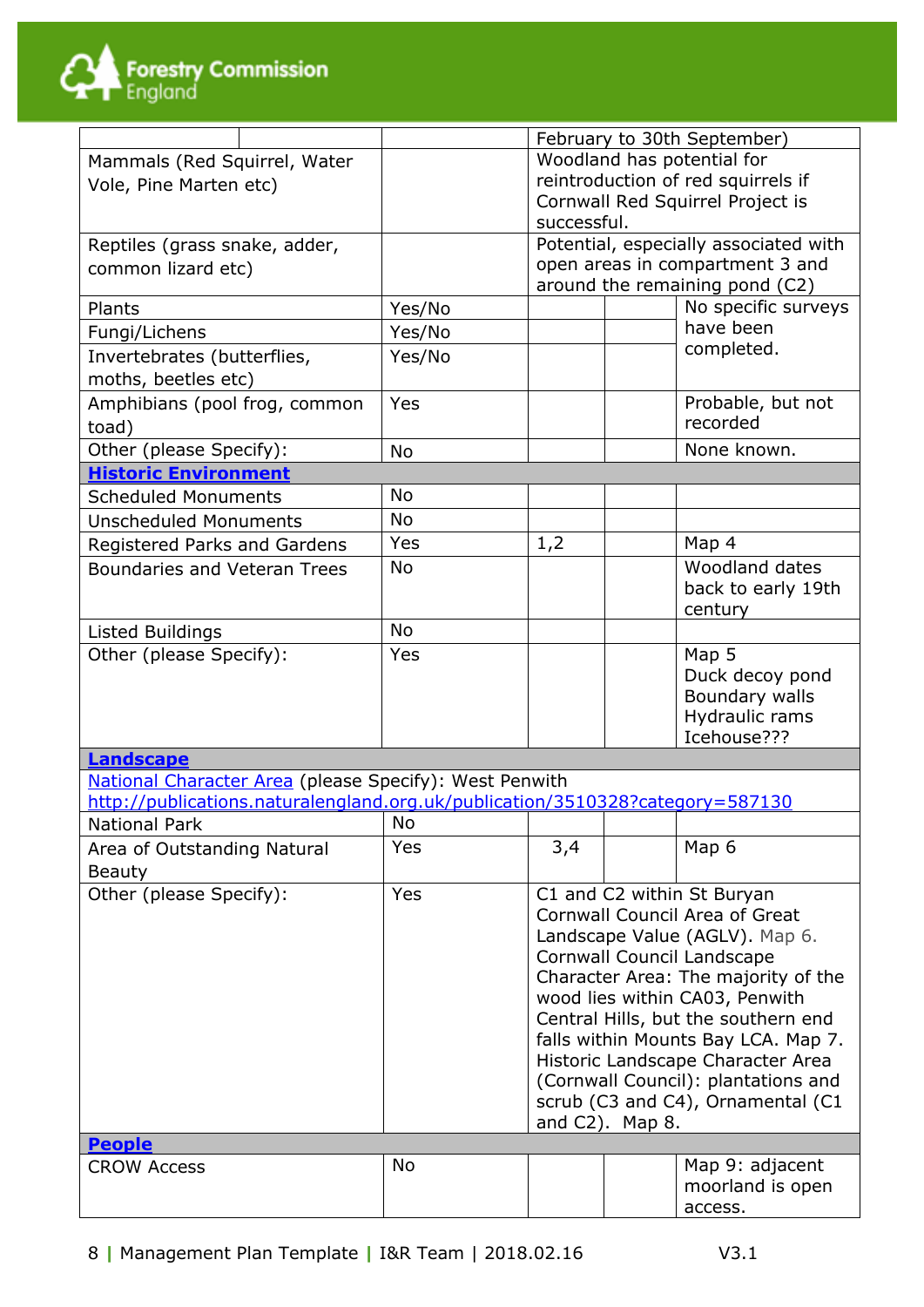

|                                                                               |                        |            | February to 30th September)           |                                    |                                       |  |  |
|-------------------------------------------------------------------------------|------------------------|------------|---------------------------------------|------------------------------------|---------------------------------------|--|--|
| Mammals (Red Squirrel, Water                                                  |                        |            | Woodland has potential for            |                                    |                                       |  |  |
|                                                                               | Vole, Pine Marten etc) |            |                                       | reintroduction of red squirrels if |                                       |  |  |
|                                                                               |                        |            | Cornwall Red Squirrel Project is      |                                    |                                       |  |  |
|                                                                               |                        |            | successful.                           |                                    |                                       |  |  |
| Reptiles (grass snake, adder,                                                 |                        |            | Potential, especially associated with |                                    |                                       |  |  |
| common lizard etc)                                                            |                        |            |                                       |                                    | open areas in compartment 3 and       |  |  |
|                                                                               |                        |            |                                       |                                    | around the remaining pond (C2)        |  |  |
| Plants                                                                        |                        | Yes/No     |                                       |                                    | No specific surveys                   |  |  |
| Fungi/Lichens                                                                 |                        | Yes/No     |                                       |                                    | have been                             |  |  |
| Invertebrates (butterflies,                                                   |                        | Yes/No     |                                       |                                    | completed.                            |  |  |
| moths, beetles etc)                                                           |                        |            |                                       |                                    |                                       |  |  |
| Amphibians (pool frog, common                                                 |                        | Yes        |                                       |                                    | Probable, but not                     |  |  |
| toad)                                                                         |                        |            |                                       |                                    | recorded                              |  |  |
| Other (please Specify):                                                       |                        | <b>No</b>  |                                       |                                    | None known.                           |  |  |
| <b>Historic Environment</b>                                                   |                        |            |                                       |                                    |                                       |  |  |
| <b>Scheduled Monuments</b>                                                    |                        | No         |                                       |                                    |                                       |  |  |
| <b>Unscheduled Monuments</b>                                                  |                        | <b>No</b>  |                                       |                                    |                                       |  |  |
| Registered Parks and Gardens                                                  |                        | Yes        | 1,2                                   |                                    | Map 4                                 |  |  |
| <b>Boundaries and Veteran Trees</b>                                           |                        | No         |                                       |                                    | Woodland dates                        |  |  |
|                                                                               |                        |            |                                       |                                    | back to early 19th                    |  |  |
|                                                                               |                        |            |                                       |                                    | century                               |  |  |
| Listed Buildings                                                              |                        | <b>No</b>  |                                       |                                    |                                       |  |  |
| Other (please Specify):                                                       |                        | <b>Yes</b> |                                       |                                    | Map 5                                 |  |  |
|                                                                               |                        |            |                                       |                                    | Duck decoy pond                       |  |  |
|                                                                               |                        |            |                                       |                                    | Boundary walls                        |  |  |
|                                                                               |                        |            |                                       |                                    | Hydraulic rams                        |  |  |
|                                                                               |                        |            |                                       |                                    | Icehouse???                           |  |  |
| Landscape                                                                     |                        |            |                                       |                                    |                                       |  |  |
| National Character Area (please Specify): West Penwith                        |                        |            |                                       |                                    |                                       |  |  |
| http://publications.naturalengland.org.uk/publication/3510328?category=587130 |                        |            |                                       |                                    |                                       |  |  |
| National Park                                                                 |                        | No         |                                       |                                    |                                       |  |  |
| Area of Outstanding Natural                                                   |                        | Yes        | 3,4                                   |                                    | Map 6                                 |  |  |
| <b>Beauty</b>                                                                 |                        |            |                                       |                                    |                                       |  |  |
| Other (please Specify):                                                       |                        | Yes        |                                       |                                    | C1 and C2 within St Buryan            |  |  |
|                                                                               |                        |            |                                       |                                    | <b>Cornwall Council Area of Great</b> |  |  |
|                                                                               |                        |            |                                       |                                    | Landscape Value (AGLV). Map 6.        |  |  |
|                                                                               |                        |            |                                       |                                    | Cornwall Council Landscape            |  |  |
|                                                                               |                        |            |                                       |                                    | Character Area: The majority of the   |  |  |
|                                                                               |                        |            |                                       |                                    | wood lies within CA03, Penwith        |  |  |
|                                                                               |                        |            | Central Hills, but the southern end   |                                    |                                       |  |  |
|                                                                               |                        |            |                                       |                                    | falls within Mounts Bay LCA. Map 7.   |  |  |
|                                                                               |                        |            |                                       |                                    | Historic Landscape Character Area     |  |  |
|                                                                               |                        |            |                                       |                                    | (Cornwall Council): plantations and   |  |  |
|                                                                               |                        |            | scrub (C3 and C4), Ornamental (C1     |                                    |                                       |  |  |
| <b>People</b>                                                                 |                        |            | and C2). Map 8.                       |                                    |                                       |  |  |
| <b>CROW Access</b>                                                            |                        | <b>No</b>  |                                       |                                    | Map 9: adjacent                       |  |  |
|                                                                               |                        |            |                                       |                                    | moorland is open                      |  |  |
|                                                                               |                        |            |                                       |                                    | access.                               |  |  |
|                                                                               |                        |            |                                       |                                    |                                       |  |  |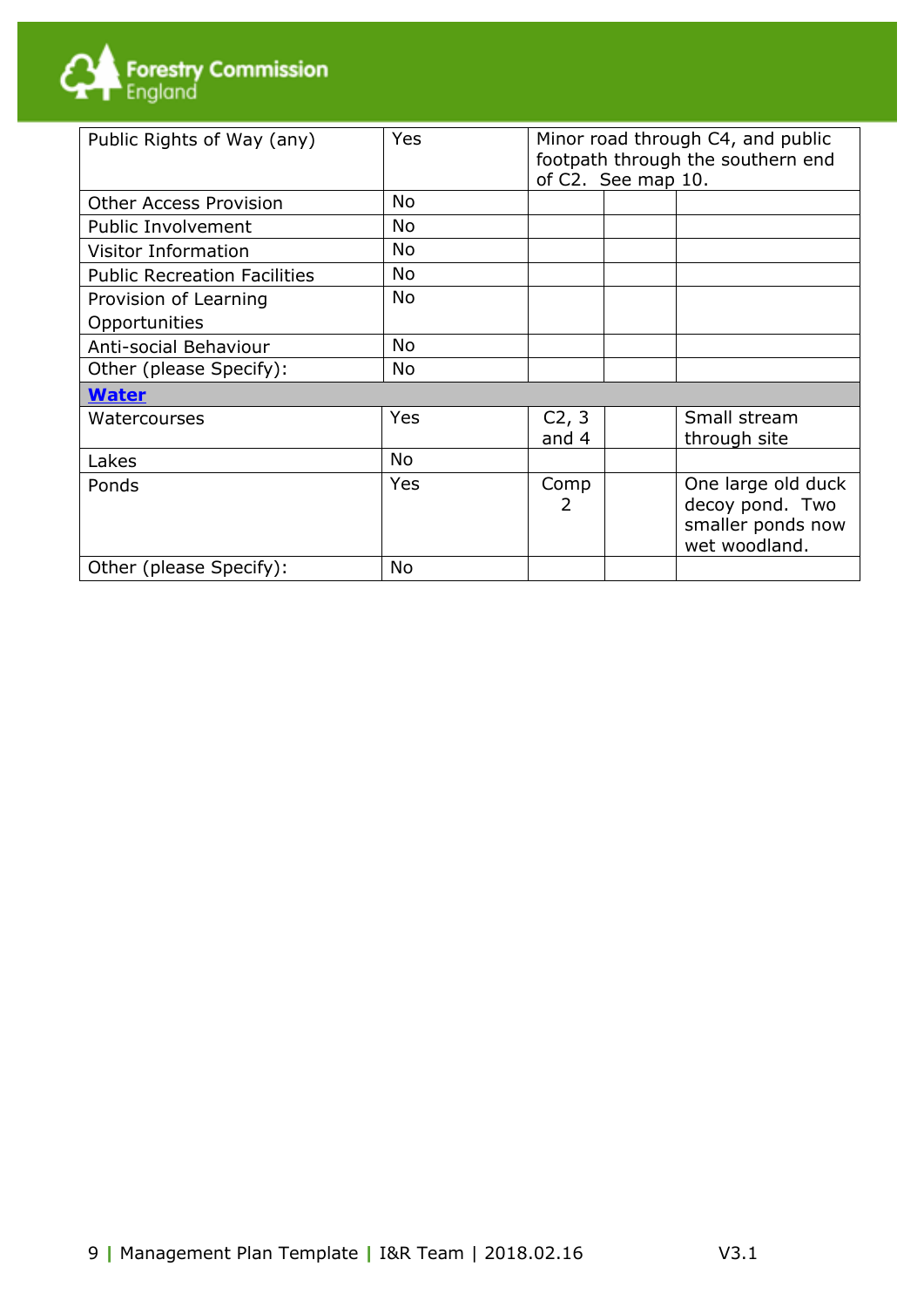

| Public Rights of Way (any)          | <b>Yes</b> | Minor road through C4, and public<br>footpath through the southern end<br>of C2. See map 10. |                                                                             |  |
|-------------------------------------|------------|----------------------------------------------------------------------------------------------|-----------------------------------------------------------------------------|--|
| <b>Other Access Provision</b>       | <b>No</b>  |                                                                                              |                                                                             |  |
| <b>Public Involvement</b>           | <b>No</b>  |                                                                                              |                                                                             |  |
| <b>Visitor Information</b>          | <b>No</b>  |                                                                                              |                                                                             |  |
| <b>Public Recreation Facilities</b> | <b>No</b>  |                                                                                              |                                                                             |  |
| Provision of Learning               | <b>No</b>  |                                                                                              |                                                                             |  |
| Opportunities                       |            |                                                                                              |                                                                             |  |
| Anti-social Behaviour               | <b>No</b>  |                                                                                              |                                                                             |  |
| Other (please Specify):             | <b>No</b>  |                                                                                              |                                                                             |  |
| <b>Water</b>                        |            |                                                                                              |                                                                             |  |
| Watercourses                        | Yes        | C <sub>2</sub> , 3<br>and 4                                                                  | Small stream<br>through site                                                |  |
| Lakes                               | <b>No</b>  |                                                                                              |                                                                             |  |
| Ponds                               | Yes        | Comp<br>2                                                                                    | One large old duck<br>decoy pond. Two<br>smaller ponds now<br>wet woodland. |  |
| Other (please Specify):             | <b>No</b>  |                                                                                              |                                                                             |  |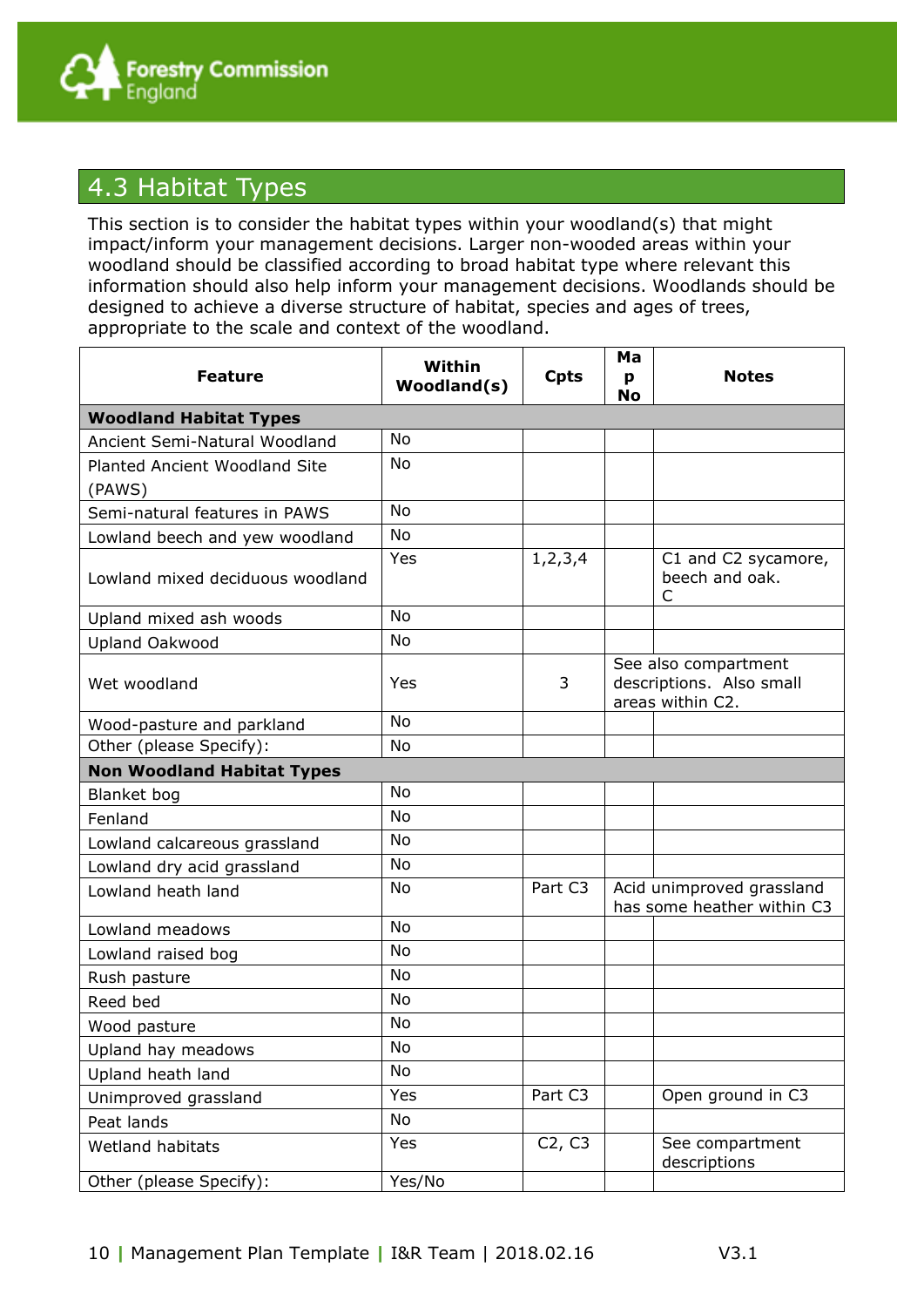

#### 4.3 Habitat Types

This section is to consider the habitat types within your woodland(s) that might impact/inform your management decisions. Larger non-wooded areas within your woodland should be classified according to broad habitat type where relevant this information should also help inform your management decisions. Woodlands should be designed to achieve a diverse structure of habitat, species and ages of trees, appropriate to the scale and context of the woodland.

| <b>Feature</b>                                                 | Within<br>Woodland(s) | <b>Cpts</b> | Ma<br>p                                                              | <b>Notes</b>                                            |
|----------------------------------------------------------------|-----------------------|-------------|----------------------------------------------------------------------|---------------------------------------------------------|
|                                                                |                       |             | No                                                                   |                                                         |
| <b>Woodland Habitat Types</b><br>Ancient Semi-Natural Woodland | No                    |             |                                                                      |                                                         |
| Planted Ancient Woodland Site                                  | <b>No</b>             |             |                                                                      |                                                         |
|                                                                |                       |             |                                                                      |                                                         |
| (PAWS)<br>Semi-natural features in PAWS                        | <b>No</b>             |             |                                                                      |                                                         |
| Lowland beech and yew woodland                                 | <b>No</b>             |             |                                                                      |                                                         |
|                                                                | Yes                   | 1, 2, 3, 4  |                                                                      | C1 and C2 sycamore,                                     |
| Lowland mixed deciduous woodland                               |                       |             |                                                                      | beech and oak.<br>C                                     |
| Upland mixed ash woods                                         | <b>No</b>             |             |                                                                      |                                                         |
| <b>Upland Oakwood</b>                                          | No                    |             |                                                                      |                                                         |
| Wet woodland                                                   | Yes                   | 3           | See also compartment<br>descriptions. Also small<br>areas within C2. |                                                         |
| Wood-pasture and parkland                                      | No                    |             |                                                                      |                                                         |
| Other (please Specify):                                        | No                    |             |                                                                      |                                                         |
| <b>Non Woodland Habitat Types</b>                              |                       |             |                                                                      |                                                         |
| Blanket bog                                                    | No                    |             |                                                                      |                                                         |
| Fenland                                                        | <b>No</b>             |             |                                                                      |                                                         |
| Lowland calcareous grassland                                   | No                    |             |                                                                      |                                                         |
| Lowland dry acid grassland                                     | No                    |             |                                                                      |                                                         |
| Lowland heath land                                             | <b>No</b>             | Part C3     |                                                                      | Acid unimproved grassland<br>has some heather within C3 |
| Lowland meadows                                                | <b>No</b>             |             |                                                                      |                                                         |
| Lowland raised bog                                             | No                    |             |                                                                      |                                                         |
| Rush pasture                                                   | No                    |             |                                                                      |                                                         |
| Reed bed                                                       | No                    |             |                                                                      |                                                         |
| Wood pasture                                                   | No                    |             |                                                                      |                                                         |
| Upland hay meadows                                             | $\mathsf{No}$         |             |                                                                      |                                                         |
| Upland heath land                                              | No                    |             |                                                                      |                                                         |
| Unimproved grassland                                           | Yes                   | Part C3     |                                                                      | Open ground in C3                                       |
| Peat lands                                                     | No                    |             |                                                                      |                                                         |
| Wetland habitats                                               | Yes                   | C2, C3      |                                                                      | See compartment<br>descriptions                         |
| Other (please Specify):                                        | Yes/No                |             |                                                                      |                                                         |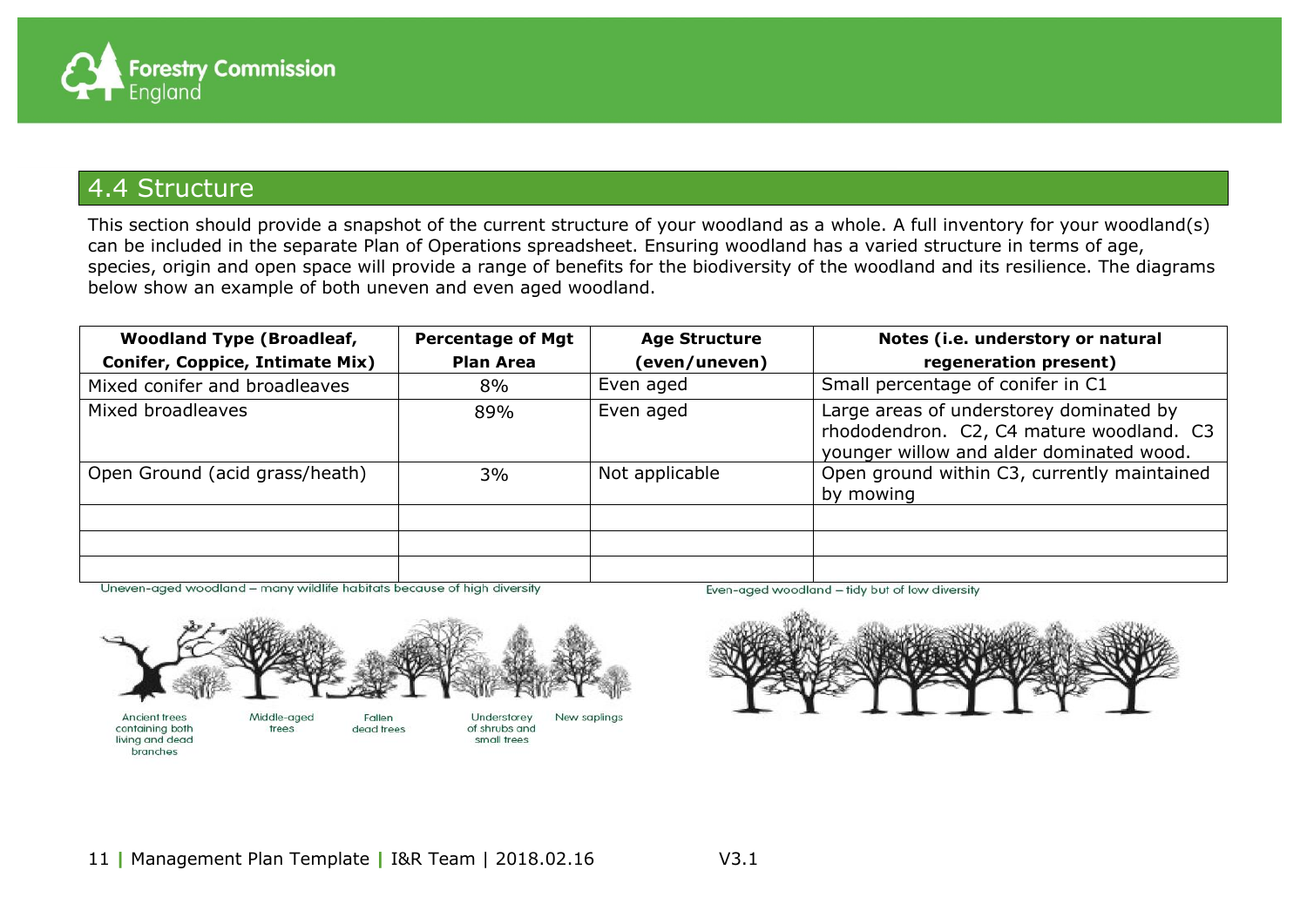

#### 4.4 Structure

This section should provide a snapshot of the current structure of your woodland as a whole. A full inventory for your woodland(s) can be included in the separate Plan of Operations spreadsheet. Ensuring woodland has a varied structure in terms of age, species, origin and open space will provide a range of benefits for the biodiversity of the woodland and its resilience. The diagrams below show an example of both uneven and even aged woodland.

| <b>Woodland Type (Broadleaf,</b>       | <b>Percentage of Mgt</b> | <b>Age Structure</b> | Notes (i.e. understory or natural                                                                                               |
|----------------------------------------|--------------------------|----------------------|---------------------------------------------------------------------------------------------------------------------------------|
| <b>Conifer, Coppice, Intimate Mix)</b> | <b>Plan Area</b>         | (even/uneven)        | regeneration present)                                                                                                           |
| Mixed conifer and broadleaves          | 8%                       | Even aged            | Small percentage of conifer in C1                                                                                               |
| Mixed broadleaves                      | 89%                      | Even aged            | Large areas of understorey dominated by<br>rhododendron. C2, C4 mature woodland. C3<br>younger willow and alder dominated wood. |
| Open Ground (acid grass/heath)         | 3%                       | Not applicable       | Open ground within C3, currently maintained<br>by mowing                                                                        |
|                                        |                          |                      |                                                                                                                                 |
|                                        |                          |                      |                                                                                                                                 |
|                                        |                          |                      |                                                                                                                                 |

Uneven-aged woodland - many wildlife habitats because of high diversity



containing both living and dead branches

trees dead trees

of shrubs and small trees

Even-aged woodland - tidy but of low diversity

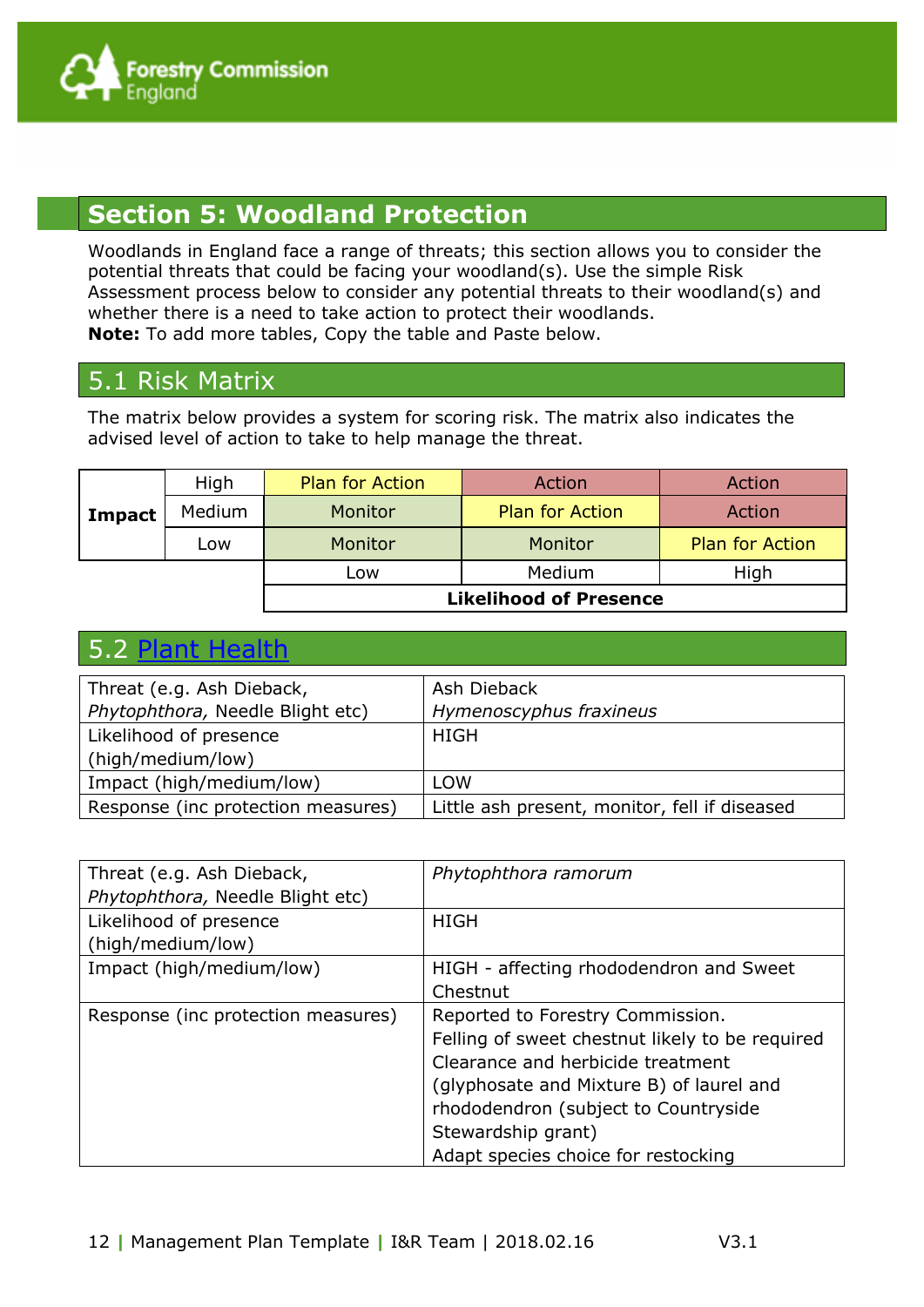

#### **Section 5: Woodland Protection**

Woodlands in England face a range of threats; this section allows you to consider the potential threats that could be facing your woodland(s). Use the simple Risk Assessment process below to consider any potential threats to their woodland(s) and whether there is a need to take action to protect their woodlands. **Note:** To add more tables, Copy the table and Paste below.

#### 5.1 Risk Matrix

The matrix below provides a system for scoring risk. The matrix also indicates the advised level of action to take to help manage the threat.

|        | High   | <b>Plan for Action</b>        | Action                 | Action                 |
|--------|--------|-------------------------------|------------------------|------------------------|
| Impact | Medium | Monitor                       | <b>Plan for Action</b> | Action                 |
|        | Low    | Monitor                       | Monitor                | <b>Plan for Action</b> |
|        |        | Low                           | Medium                 | High                   |
|        |        | <b>Likelihood of Presence</b> |                        |                        |

#### 5.2 [Plant Health](http://www.forestry.gov.uk/forestry/infd-6abl5v)

| Threat (e.g. Ash Dieback,          | Ash Dieback                                   |
|------------------------------------|-----------------------------------------------|
| Phytophthora, Needle Blight etc)   | Hymenoscyphus fraxineus                       |
| Likelihood of presence             | <b>HIGH</b>                                   |
| (high/medium/low)                  |                                               |
| Impact (high/medium/low)           | LOW                                           |
| Response (inc protection measures) | Little ash present, monitor, fell if diseased |

| Threat (e.g. Ash Dieback,<br>Phytophthora, Needle Blight etc) | Phytophthora ramorum                                                                                                                                                                                                                                                      |
|---------------------------------------------------------------|---------------------------------------------------------------------------------------------------------------------------------------------------------------------------------------------------------------------------------------------------------------------------|
| Likelihood of presence<br>(high/medium/low)                   | <b>HIGH</b>                                                                                                                                                                                                                                                               |
| Impact (high/medium/low)                                      | HIGH - affecting rhododendron and Sweet                                                                                                                                                                                                                                   |
|                                                               | Chestnut                                                                                                                                                                                                                                                                  |
| Response (inc protection measures)                            | Reported to Forestry Commission.<br>Felling of sweet chestnut likely to be required<br>Clearance and herbicide treatment<br>(glyphosate and Mixture B) of laurel and<br>rhododendron (subject to Countryside<br>Stewardship grant)<br>Adapt species choice for restocking |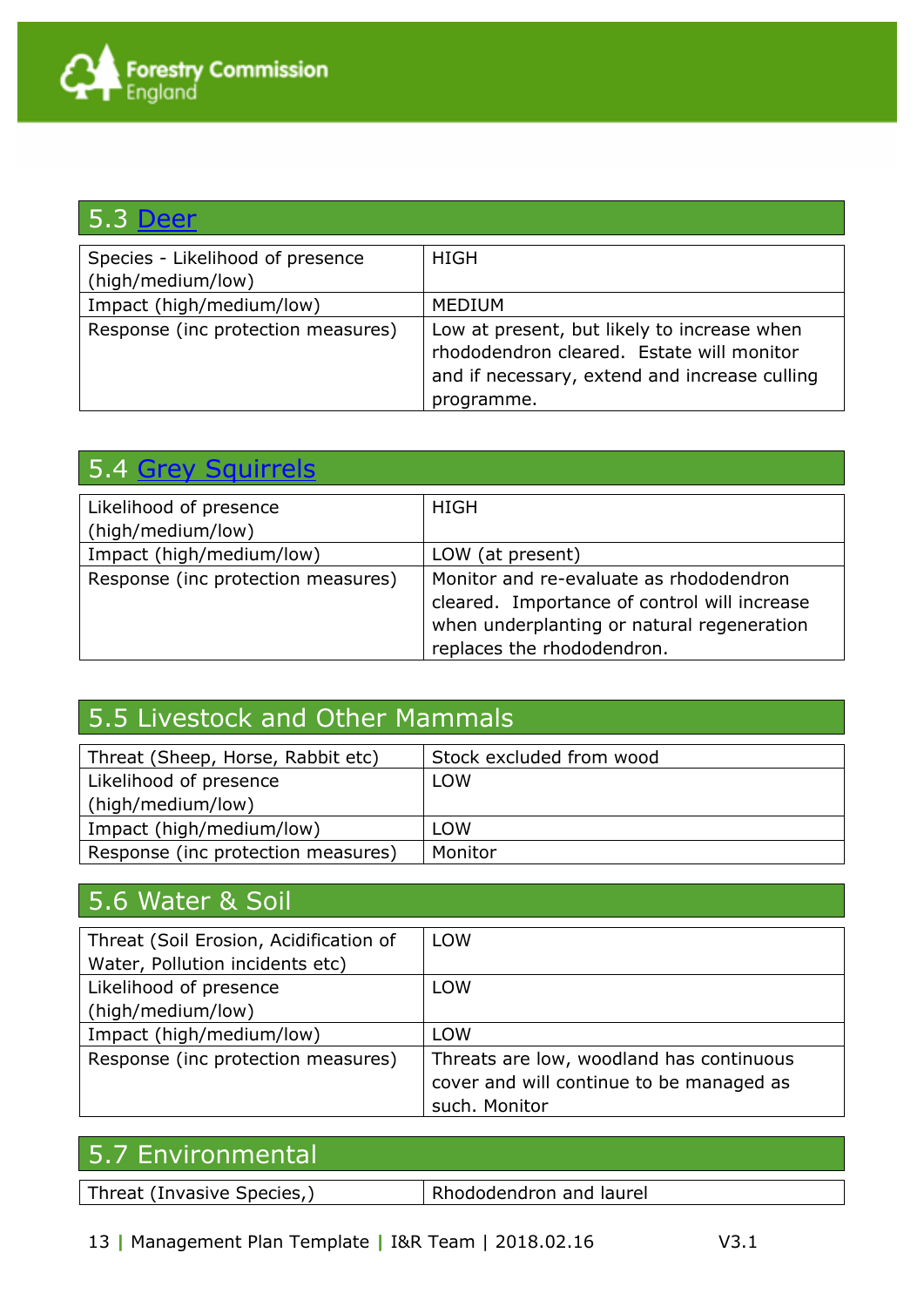| <b>5.3 Deer</b>                                       |                                                                                                                                                         |
|-------------------------------------------------------|---------------------------------------------------------------------------------------------------------------------------------------------------------|
| Species - Likelihood of presence<br>(high/medium/low) | <b>HIGH</b>                                                                                                                                             |
| Impact (high/medium/low)                              | <b>MEDIUM</b>                                                                                                                                           |
| Response (inc protection measures)                    | Low at present, but likely to increase when<br>rhododendron cleared. Estate will monitor<br>and if necessary, extend and increase culling<br>programme. |

| Likelihood of presence             | <b>HIGH</b>                                                                                                                                                         |
|------------------------------------|---------------------------------------------------------------------------------------------------------------------------------------------------------------------|
| (high/medium/low)                  |                                                                                                                                                                     |
| Impact (high/medium/low)           | LOW (at present)                                                                                                                                                    |
| Response (inc protection measures) | Monitor and re-evaluate as rhododendron<br>cleared. Importance of control will increase<br>when underplanting or natural regeneration<br>replaces the rhododendron. |

## 5.5 Livestock and Other Mammals

| Threat (Sheep, Horse, Rabbit etc)  | Stock excluded from wood |
|------------------------------------|--------------------------|
| Likelihood of presence             | LOW                      |
| (high/medium/low)                  |                          |
| Impact (high/medium/low)           | <b>LOW</b>               |
| Response (inc protection measures) | Monitor                  |

### 5.6 Water & Soil

| Threat (Soil Erosion, Acidification of | <b>LOW</b>                               |
|----------------------------------------|------------------------------------------|
|                                        |                                          |
| Water, Pollution incidents etc)        |                                          |
| Likelihood of presence                 | <b>LOW</b>                               |
|                                        |                                          |
| (high/medium/low)                      |                                          |
|                                        |                                          |
| Impact (high/medium/low)               | <b>LOW</b>                               |
|                                        |                                          |
| Response (inc protection measures)     | Threats are low, woodland has continuous |
|                                        | cover and will continue to be managed as |
|                                        |                                          |
|                                        | such. Monitor                            |
|                                        |                                          |

## 5.7 Environmental

Threat (Invasive Species,) Rhododendron and laurel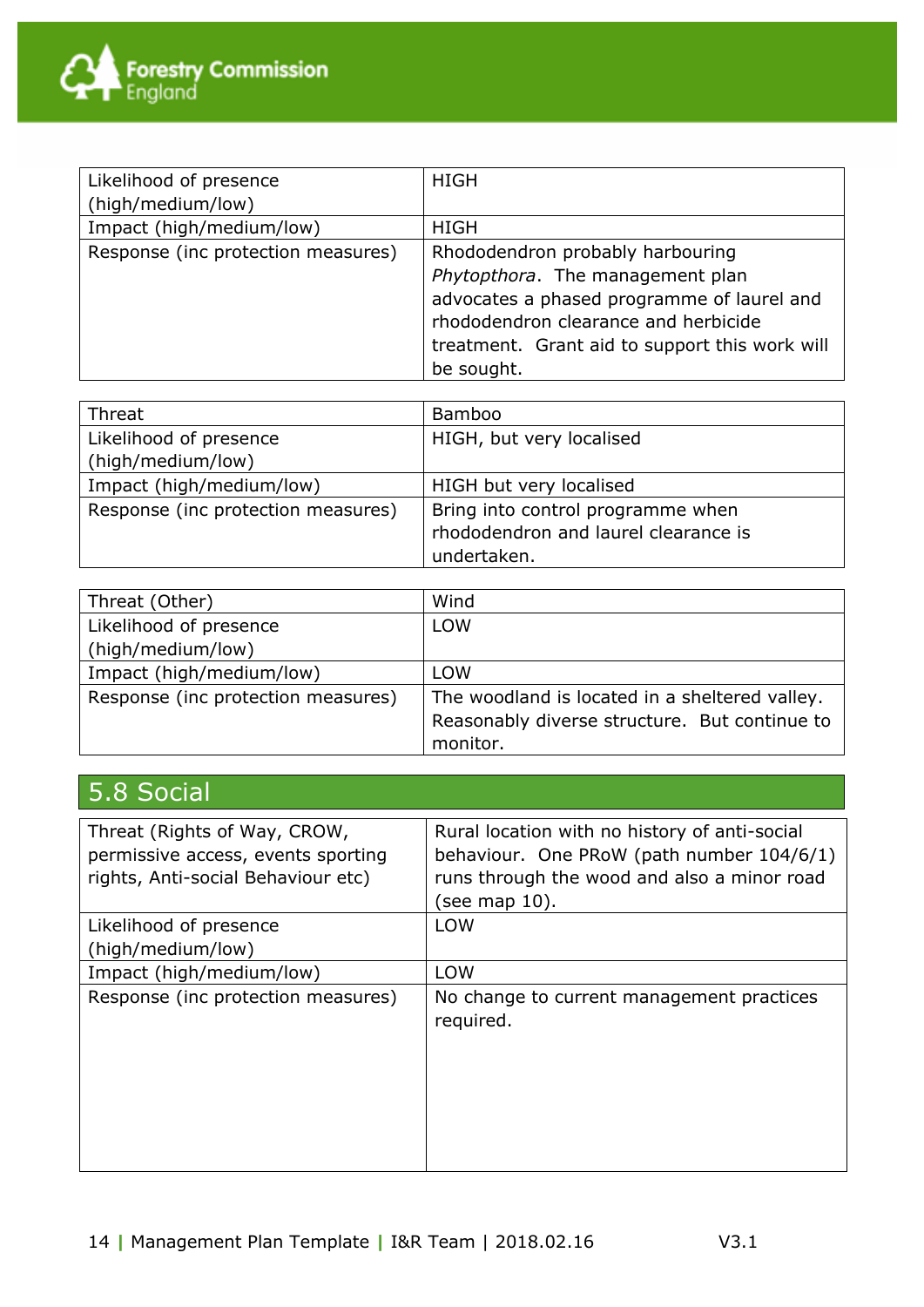

| Likelihood of presence             | <b>HIGH</b>                                                                                                                                                                                                                |
|------------------------------------|----------------------------------------------------------------------------------------------------------------------------------------------------------------------------------------------------------------------------|
| (high/medium/low)                  |                                                                                                                                                                                                                            |
| Impact (high/medium/low)           | <b>HIGH</b>                                                                                                                                                                                                                |
| Response (inc protection measures) | Rhododendron probably harbouring<br>Phytopthora. The management plan<br>advocates a phased programme of laurel and<br>rhododendron clearance and herbicide<br>treatment. Grant aid to support this work will<br>be sought. |

| Threat                             | <b>Bamboo</b>                        |
|------------------------------------|--------------------------------------|
| Likelihood of presence             | HIGH, but very localised             |
| (high/medium/low)                  |                                      |
| Impact (high/medium/low)           | HIGH but very localised              |
| Response (inc protection measures) | Bring into control programme when    |
|                                    | rhododendron and laurel clearance is |
|                                    | undertaken.                          |

| Threat (Other)                     | Wind                                           |
|------------------------------------|------------------------------------------------|
| Likelihood of presence             | <b>LOW</b>                                     |
| (high/medium/low)                  |                                                |
| Impact (high/medium/low)           | <b>LOW</b>                                     |
| Response (inc protection measures) | The woodland is located in a sheltered valley. |
|                                    | Reasonably diverse structure. But continue to  |
|                                    | monitor.                                       |

# 5.8 Social

| Threat (Rights of Way, CROW,<br>permissive access, events sporting<br>rights, Anti-social Behaviour etc) | Rural location with no history of anti-social<br>behaviour. One PRoW (path number 104/6/1)<br>runs through the wood and also a minor road<br>(see map 10). |
|----------------------------------------------------------------------------------------------------------|------------------------------------------------------------------------------------------------------------------------------------------------------------|
| Likelihood of presence<br>(high/medium/low)                                                              | <b>LOW</b>                                                                                                                                                 |
| Impact (high/medium/low)                                                                                 | <b>LOW</b>                                                                                                                                                 |
| Response (inc protection measures)                                                                       | No change to current management practices<br>required.                                                                                                     |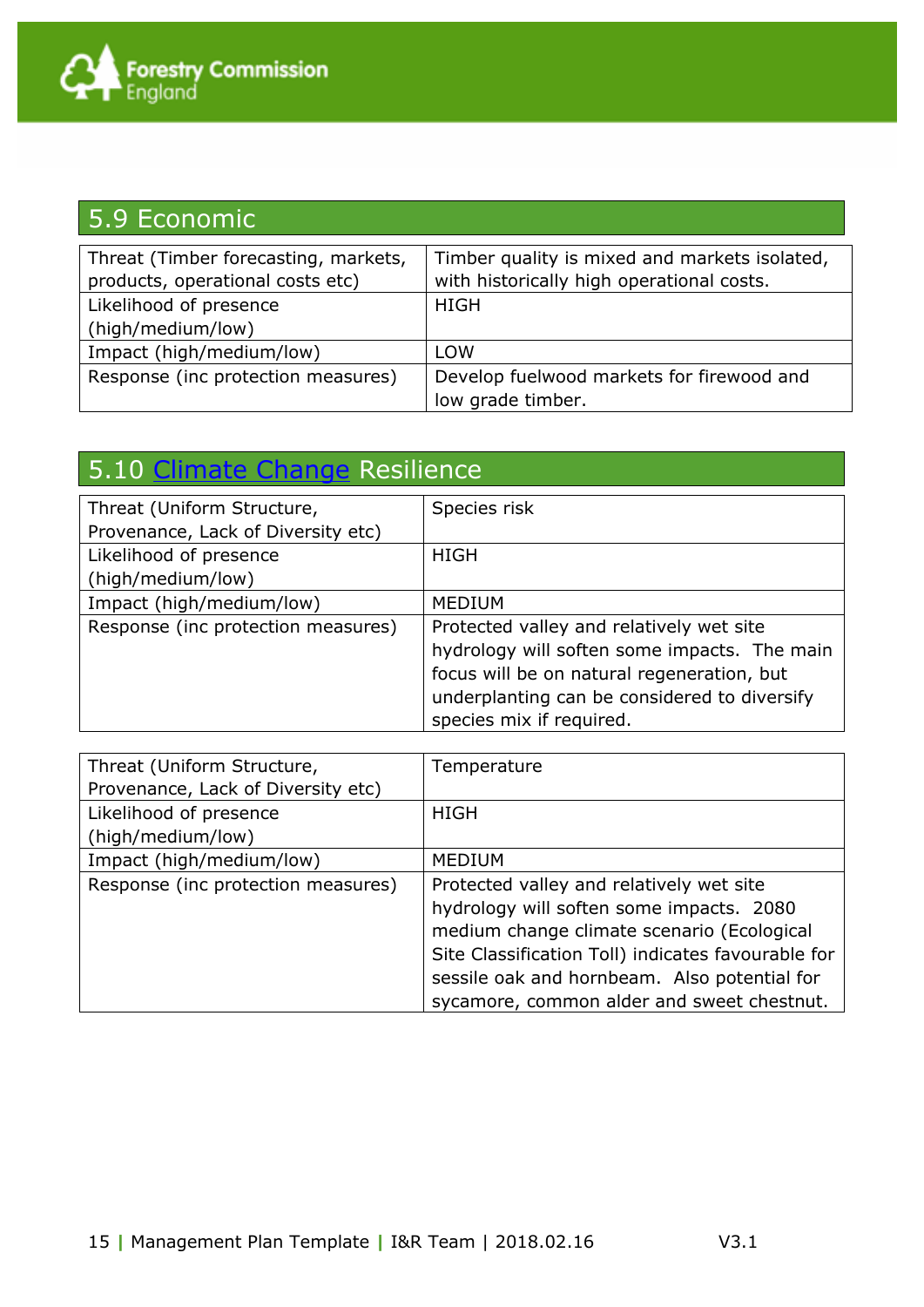| 5.9 Economic                                                             |                                                                                            |
|--------------------------------------------------------------------------|--------------------------------------------------------------------------------------------|
| Threat (Timber forecasting, markets,<br>products, operational costs etc) | Timber quality is mixed and markets isolated,<br>with historically high operational costs. |
| Likelihood of presence                                                   | <b>HIGH</b>                                                                                |
| (high/medium/low)                                                        |                                                                                            |
| Impact (high/medium/low)                                                 | <b>LOW</b>                                                                                 |
| Response (inc protection measures)                                       | Develop fuelwood markets for firewood and<br>low grade timber.                             |

# 5.10 [Climate Change](http://www.forestry.gov.uk/forestry/INFD-8M6E9E) Resilience

| Threat (Uniform Structure,         | Species risk                                 |
|------------------------------------|----------------------------------------------|
| Provenance, Lack of Diversity etc) |                                              |
| Likelihood of presence             | <b>HIGH</b>                                  |
| (high/medium/low)                  |                                              |
| Impact (high/medium/low)           | <b>MEDIUM</b>                                |
| Response (inc protection measures) | Protected valley and relatively wet site     |
|                                    | hydrology will soften some impacts. The main |
|                                    | focus will be on natural regeneration, but   |
|                                    | underplanting can be considered to diversify |
|                                    | species mix if required.                     |

| Threat (Uniform Structure,         | Temperature                                        |
|------------------------------------|----------------------------------------------------|
| Provenance, Lack of Diversity etc) |                                                    |
| Likelihood of presence             | HIGH                                               |
| (high/medium/low)                  |                                                    |
| Impact (high/medium/low)           | <b>MEDIUM</b>                                      |
| Response (inc protection measures) | Protected valley and relatively wet site           |
|                                    | hydrology will soften some impacts. 2080           |
|                                    | medium change climate scenario (Ecological         |
|                                    | Site Classification Toll) indicates favourable for |
|                                    | sessile oak and hornbeam. Also potential for       |
|                                    | sycamore, common alder and sweet chestnut.         |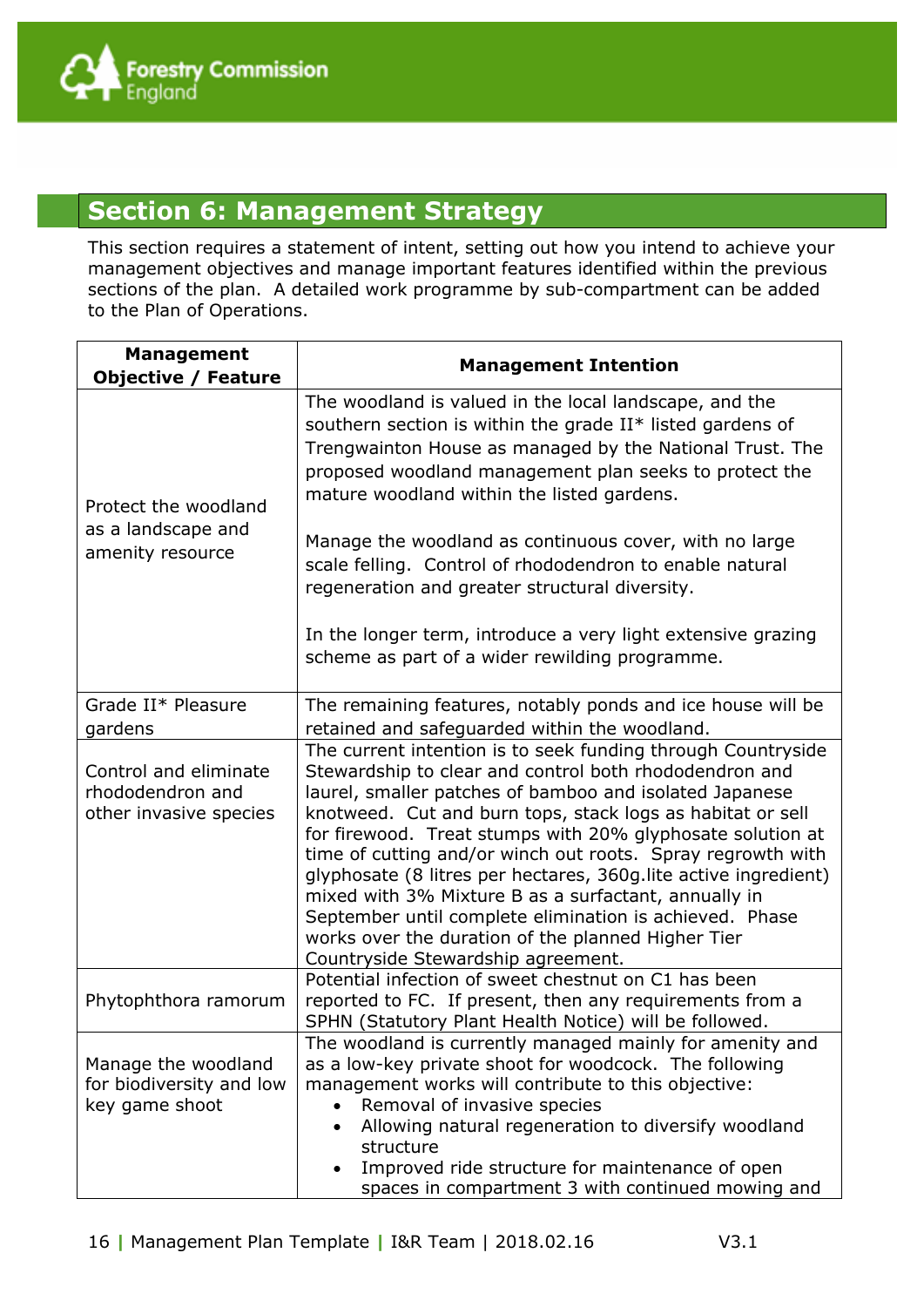#### **Section 6: Management Strategy**

This section requires a statement of intent, setting out how you intend to achieve your management objectives and manage important features identified within the previous sections of the plan. A detailed work programme by sub-compartment can be added to the Plan of Operations.

| <b>Management</b><br><b>Objective / Feature</b>                     | <b>Management Intention</b>                                                                                                                                                                                                                                                                                                                                                                                                                                                                                                                                                                                                                                     |  |  |  |
|---------------------------------------------------------------------|-----------------------------------------------------------------------------------------------------------------------------------------------------------------------------------------------------------------------------------------------------------------------------------------------------------------------------------------------------------------------------------------------------------------------------------------------------------------------------------------------------------------------------------------------------------------------------------------------------------------------------------------------------------------|--|--|--|
| Protect the woodland<br>as a landscape and<br>amenity resource      | The woodland is valued in the local landscape, and the<br>southern section is within the grade II* listed gardens of<br>Trengwainton House as managed by the National Trust. The<br>proposed woodland management plan seeks to protect the<br>mature woodland within the listed gardens.<br>Manage the woodland as continuous cover, with no large<br>scale felling. Control of rhododendron to enable natural<br>regeneration and greater structural diversity.<br>In the longer term, introduce a very light extensive grazing<br>scheme as part of a wider rewilding programme.                                                                              |  |  |  |
| Grade II* Pleasure<br>gardens                                       | The remaining features, notably ponds and ice house will be<br>retained and safeguarded within the woodland.                                                                                                                                                                                                                                                                                                                                                                                                                                                                                                                                                    |  |  |  |
| Control and eliminate<br>rhododendron and<br>other invasive species | The current intention is to seek funding through Countryside<br>Stewardship to clear and control both rhododendron and<br>laurel, smaller patches of bamboo and isolated Japanese<br>knotweed. Cut and burn tops, stack logs as habitat or sell<br>for firewood. Treat stumps with 20% glyphosate solution at<br>time of cutting and/or winch out roots. Spray regrowth with<br>glyphosate (8 litres per hectares, 360g. lite active ingredient)<br>mixed with 3% Mixture B as a surfactant, annually in<br>September until complete elimination is achieved. Phase<br>works over the duration of the planned Higher Tier<br>Countryside Stewardship agreement. |  |  |  |
| Phytophthora ramorum                                                | Potential infection of sweet chestnut on C1 has been<br>reported to FC. If present, then any requirements from a<br>SPHN (Statutory Plant Health Notice) will be followed.                                                                                                                                                                                                                                                                                                                                                                                                                                                                                      |  |  |  |
| Manage the woodland<br>for biodiversity and low<br>key game shoot   | The woodland is currently managed mainly for amenity and<br>as a low-key private shoot for woodcock. The following<br>management works will contribute to this objective:<br>Removal of invasive species<br>Allowing natural regeneration to diversify woodland<br>$\bullet$<br>structure<br>Improved ride structure for maintenance of open<br>$\bullet$<br>spaces in compartment 3 with continued mowing and                                                                                                                                                                                                                                                  |  |  |  |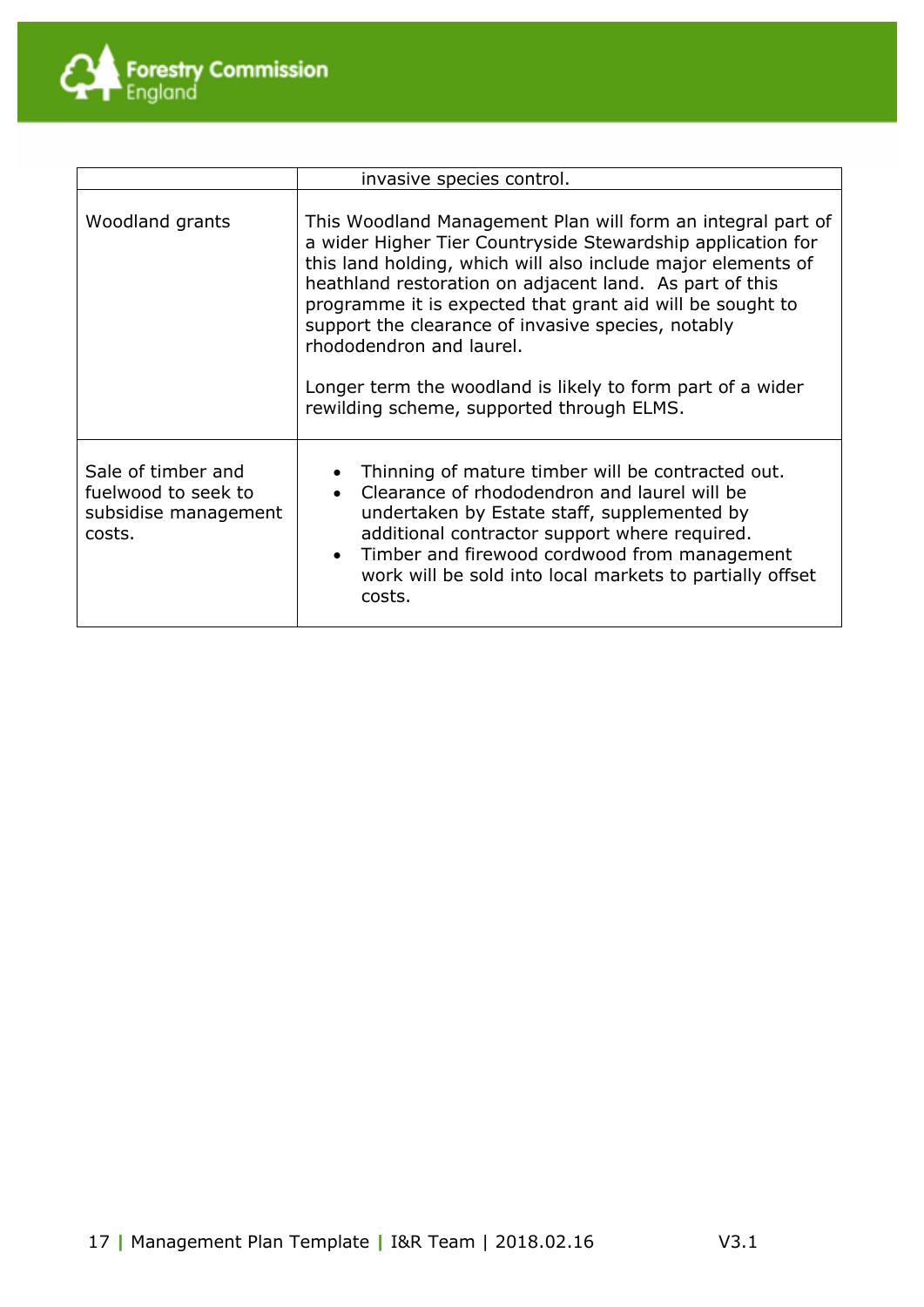

|                                                                             | invasive species control.                                                                                                                                                                                                                                                                                                                                                                                                                                                                                       |  |  |
|-----------------------------------------------------------------------------|-----------------------------------------------------------------------------------------------------------------------------------------------------------------------------------------------------------------------------------------------------------------------------------------------------------------------------------------------------------------------------------------------------------------------------------------------------------------------------------------------------------------|--|--|
| Woodland grants                                                             | This Woodland Management Plan will form an integral part of<br>a wider Higher Tier Countryside Stewardship application for<br>this land holding, which will also include major elements of<br>heathland restoration on adjacent land. As part of this<br>programme it is expected that grant aid will be sought to<br>support the clearance of invasive species, notably<br>rhododendron and laurel.<br>Longer term the woodland is likely to form part of a wider<br>rewilding scheme, supported through ELMS. |  |  |
| Sale of timber and<br>fuelwood to seek to<br>subsidise management<br>costs. | • Thinning of mature timber will be contracted out.<br>• Clearance of rhododendron and laurel will be<br>undertaken by Estate staff, supplemented by<br>additional contractor support where required.<br>• Timber and firewood cordwood from management<br>work will be sold into local markets to partially offset<br>costs.                                                                                                                                                                                   |  |  |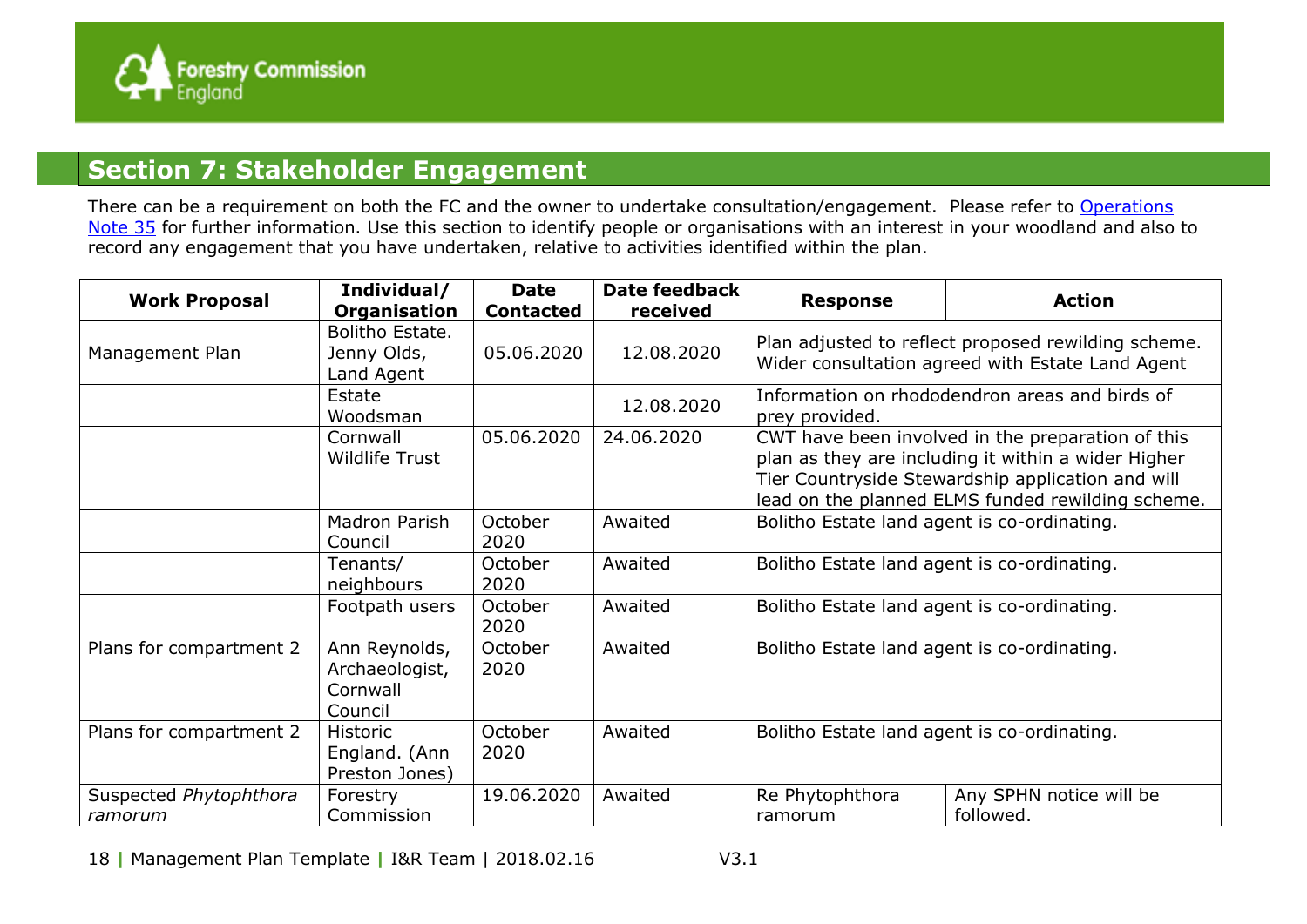

#### **Section 7: Stakeholder Engagement**

There can be a requirement on both the FC and the owner to undertake consultation/engagement. Please refer to Operations [Note 35](http://www.forestry.gov.uk/website/forestry.nsf/byunique/infd-7t9e4j) for further information. Use this section to identify people or organisations with an interest in your woodland and also to record any engagement that you have undertaken, relative to activities identified within the plan.

| <b>Work Proposal</b>              | Individual/<br>Organisation                            | <b>Date</b><br><b>Contacted</b> | <b>Date feedback</b><br>received | <b>Response</b>                                                                                                                                                                                                    | <b>Action</b>                        |  |
|-----------------------------------|--------------------------------------------------------|---------------------------------|----------------------------------|--------------------------------------------------------------------------------------------------------------------------------------------------------------------------------------------------------------------|--------------------------------------|--|
| Management Plan                   | Bolitho Estate.<br>Jenny Olds,<br>Land Agent           | 05.06.2020                      | 12.08.2020                       | Plan adjusted to reflect proposed rewilding scheme.<br>Wider consultation agreed with Estate Land Agent                                                                                                            |                                      |  |
|                                   | Estate<br>Woodsman                                     |                                 | 12.08.2020                       | Information on rhododendron areas and birds of<br>prey provided.                                                                                                                                                   |                                      |  |
|                                   | Cornwall<br><b>Wildlife Trust</b>                      | 05.06.2020                      | 24.06.2020                       | CWT have been involved in the preparation of this<br>plan as they are including it within a wider Higher<br>Tier Countryside Stewardship application and will<br>lead on the planned ELMS funded rewilding scheme. |                                      |  |
|                                   | Madron Parish<br>Council                               | October<br>2020                 | Awaited                          | Bolitho Estate land agent is co-ordinating.                                                                                                                                                                        |                                      |  |
|                                   | Tenants/<br>neighbours                                 | October<br>2020                 | Awaited                          | Bolitho Estate land agent is co-ordinating.                                                                                                                                                                        |                                      |  |
|                                   | Footpath users                                         | October<br>2020                 | Awaited                          | Bolitho Estate land agent is co-ordinating.                                                                                                                                                                        |                                      |  |
| Plans for compartment 2           | Ann Reynolds,<br>Archaeologist,<br>Cornwall<br>Council | October<br>2020                 | Awaited                          | Bolitho Estate land agent is co-ordinating.                                                                                                                                                                        |                                      |  |
| Plans for compartment 2           | <b>Historic</b><br>England. (Ann<br>Preston Jones)     | October<br>2020                 | Awaited                          | Bolitho Estate land agent is co-ordinating.                                                                                                                                                                        |                                      |  |
| Suspected Phytophthora<br>ramorum | Forestry<br>Commission                                 | 19.06.2020                      | Awaited                          | Re Phytophthora<br>ramorum                                                                                                                                                                                         | Any SPHN notice will be<br>followed. |  |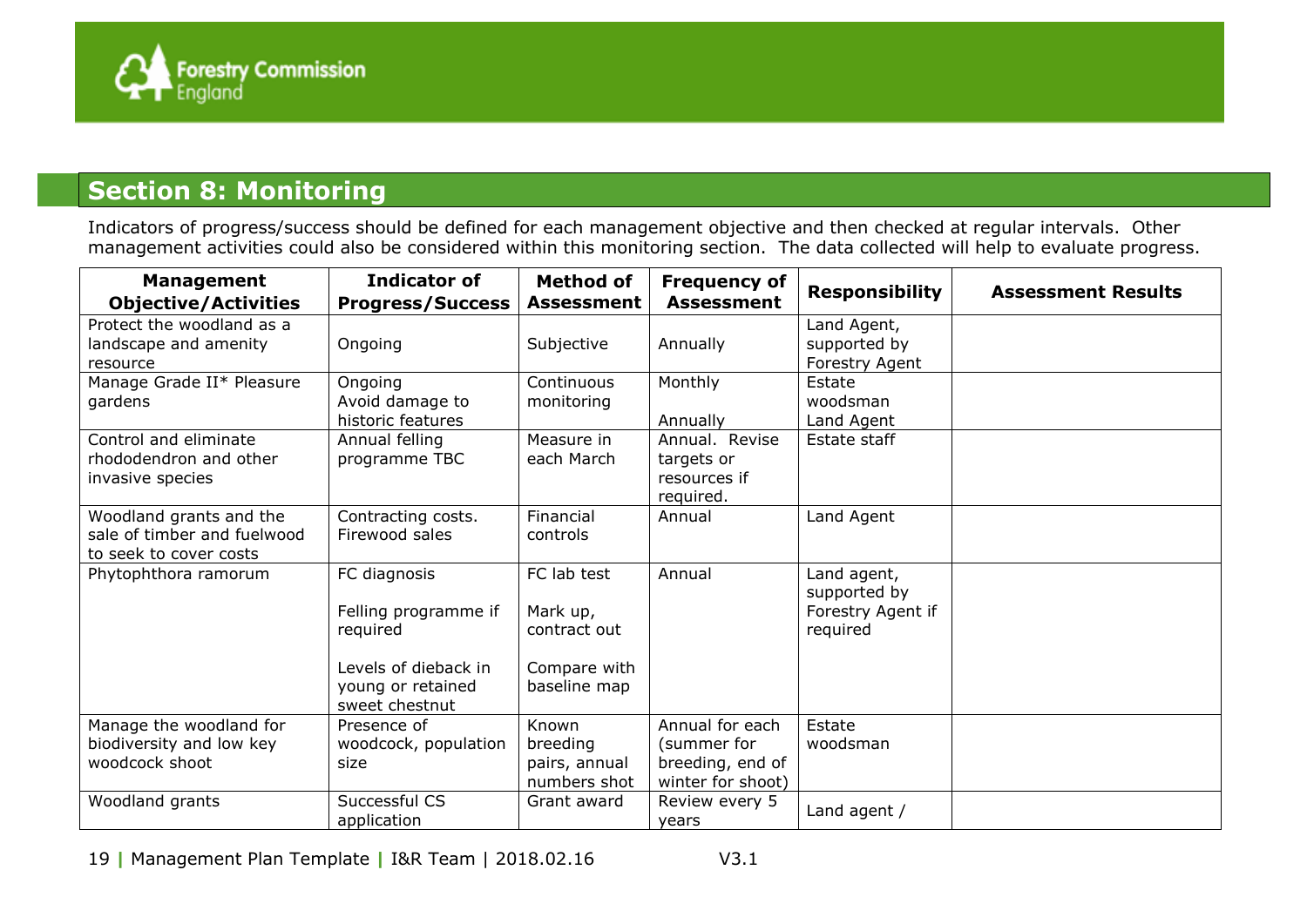

## **Section 8: Monitoring**

Indicators of progress/success should be defined for each management objective and then checked at regular intervals. Other management activities could also be considered within this monitoring section. The data collected will help to evaluate progress.

| <b>Management</b><br><b>Objective/Activities</b>                                 | <b>Indicator of</b><br><b>Progress/Success</b>                                                                  | <b>Method of</b><br><b>Assessment</b>                                   | <b>Frequency of</b><br><b>Assessment</b>                                | <b>Responsibility</b>                                        | <b>Assessment Results</b> |
|----------------------------------------------------------------------------------|-----------------------------------------------------------------------------------------------------------------|-------------------------------------------------------------------------|-------------------------------------------------------------------------|--------------------------------------------------------------|---------------------------|
| Protect the woodland as a<br>landscape and amenity<br>resource                   | Ongoing                                                                                                         | Subjective                                                              | Annually                                                                | Land Agent,<br>supported by<br>Forestry Agent                |                           |
| Manage Grade II* Pleasure<br>gardens                                             | Ongoing<br>Avoid damage to<br>historic features                                                                 | Continuous<br>monitoring                                                | Monthly<br>Annually                                                     | Estate<br>woodsman<br>Land Agent                             |                           |
| Control and eliminate<br>rhododendron and other<br>invasive species              | Annual felling<br>programme TBC                                                                                 | Measure in<br>each March                                                | Annual. Revise<br>targets or<br>resources if<br>required.               | Estate staff                                                 |                           |
| Woodland grants and the<br>sale of timber and fuelwood<br>to seek to cover costs | Contracting costs.<br>Firewood sales                                                                            | Financial<br>controls                                                   | Annual                                                                  | Land Agent                                                   |                           |
| Phytophthora ramorum                                                             | FC diagnosis<br>Felling programme if<br>required<br>Levels of dieback in<br>young or retained<br>sweet chestnut | FC lab test<br>Mark up,<br>contract out<br>Compare with<br>baseline map | Annual                                                                  | Land agent,<br>supported by<br>Forestry Agent if<br>required |                           |
| Manage the woodland for<br>biodiversity and low key<br>woodcock shoot            | Presence of<br>woodcock, population<br>size                                                                     | Known<br>breeding<br>pairs, annual<br>numbers shot                      | Annual for each<br>(summer for<br>breeding, end of<br>winter for shoot) | Estate<br>woodsman                                           |                           |
| Woodland grants                                                                  | Successful CS<br>application                                                                                    | Grant award                                                             | Review every 5<br>years                                                 | Land agent /                                                 |                           |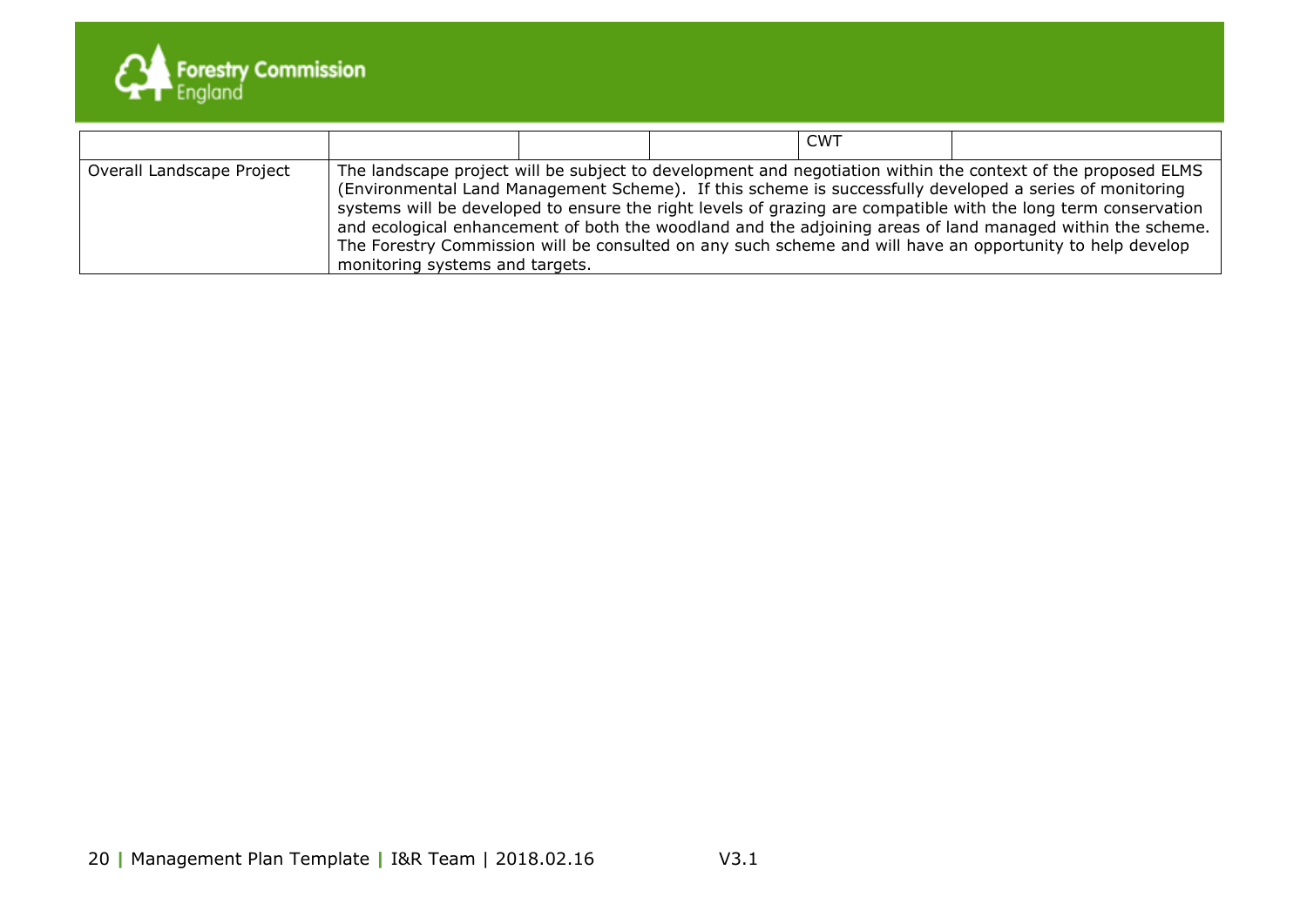

|                           |                                 |  | <b>CWT</b> |                                                                                                                                                                                                                                                                                                                                                                                                                                                                                                                                                                      |
|---------------------------|---------------------------------|--|------------|----------------------------------------------------------------------------------------------------------------------------------------------------------------------------------------------------------------------------------------------------------------------------------------------------------------------------------------------------------------------------------------------------------------------------------------------------------------------------------------------------------------------------------------------------------------------|
| Overall Landscape Project | monitoring systems and targets. |  |            | The landscape project will be subject to development and negotiation within the context of the proposed ELMS<br>(Environmental Land Management Scheme). If this scheme is successfully developed a series of monitoring<br>systems will be developed to ensure the right levels of grazing are compatible with the long term conservation<br>and ecological enhancement of both the woodland and the adjoining areas of land managed within the scheme.<br>The Forestry Commission will be consulted on any such scheme and will have an opportunity to help develop |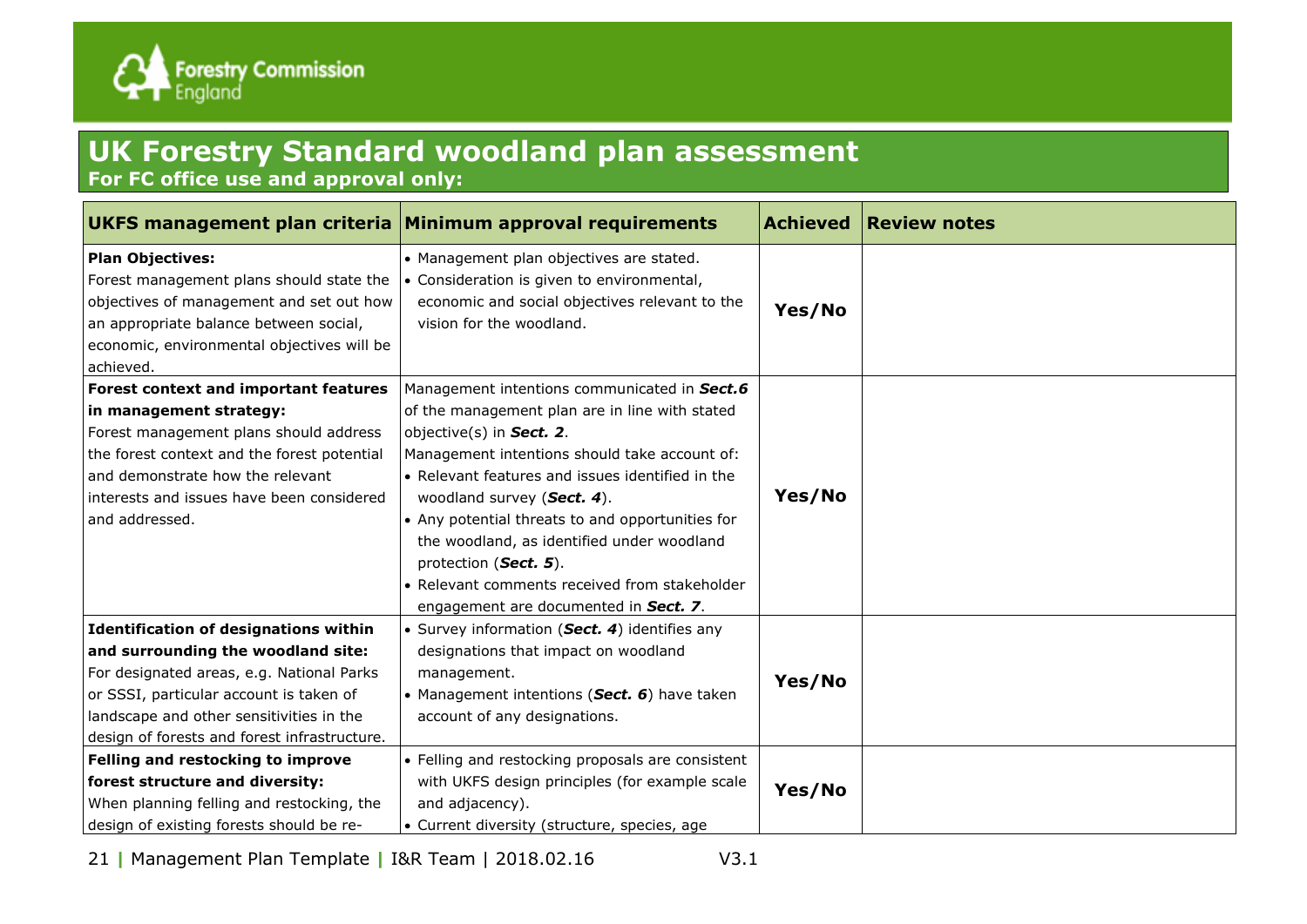

# **UK Forestry Standard woodland plan assessment**

**For FC office use and approval only:**

|                                                                                                                                                                                                                                                                                                                                                                                             | UKFS management plan criteria Minimum approval requirements                                                                                                                                                                                                                                                                                                                                                                                                                        | <b>Achieved</b>  | <b>Review notes</b> |
|---------------------------------------------------------------------------------------------------------------------------------------------------------------------------------------------------------------------------------------------------------------------------------------------------------------------------------------------------------------------------------------------|------------------------------------------------------------------------------------------------------------------------------------------------------------------------------------------------------------------------------------------------------------------------------------------------------------------------------------------------------------------------------------------------------------------------------------------------------------------------------------|------------------|---------------------|
| <b>Plan Objectives:</b><br>Forest management plans should state the<br>objectives of management and set out how<br>an appropriate balance between social,<br>economic, environmental objectives will be<br>achieved.                                                                                                                                                                        | • Management plan objectives are stated.<br>• Consideration is given to environmental,<br>economic and social objectives relevant to the<br>vision for the woodland.                                                                                                                                                                                                                                                                                                               | Yes/No           |                     |
| Forest context and important features<br>in management strategy:<br>Forest management plans should address<br>the forest context and the forest potential<br>and demonstrate how the relevant<br>interests and issues have been considered<br>and addressed.                                                                                                                                | Management intentions communicated in Sect.6<br>of the management plan are in line with stated<br>objective(s) in Sect. 2.<br>Management intentions should take account of:<br>• Relevant features and issues identified in the<br>woodland survey (Sect. 4).<br>• Any potential threats to and opportunities for<br>the woodland, as identified under woodland<br>protection (Sect. 5).<br>• Relevant comments received from stakeholder<br>engagement are documented in Sect. 7. | Yes/No           |                     |
| <b>Identification of designations within</b><br>and surrounding the woodland site:<br>For designated areas, e.g. National Parks<br>or SSSI, particular account is taken of<br>landscape and other sensitivities in the<br>design of forests and forest infrastructure.<br>Felling and restocking to improve<br>forest structure and diversity:<br>When planning felling and restocking, the | • Survey information (Sect. 4) identifies any<br>designations that impact on woodland<br>management.<br>• Management intentions (Sect. 6) have taken<br>account of any designations.<br>• Felling and restocking proposals are consistent<br>with UKFS design principles (for example scale<br>and adjacency).                                                                                                                                                                     | Yes/No<br>Yes/No |                     |
| design of existing forests should be re-                                                                                                                                                                                                                                                                                                                                                    | • Current diversity (structure, species, age                                                                                                                                                                                                                                                                                                                                                                                                                                       |                  |                     |